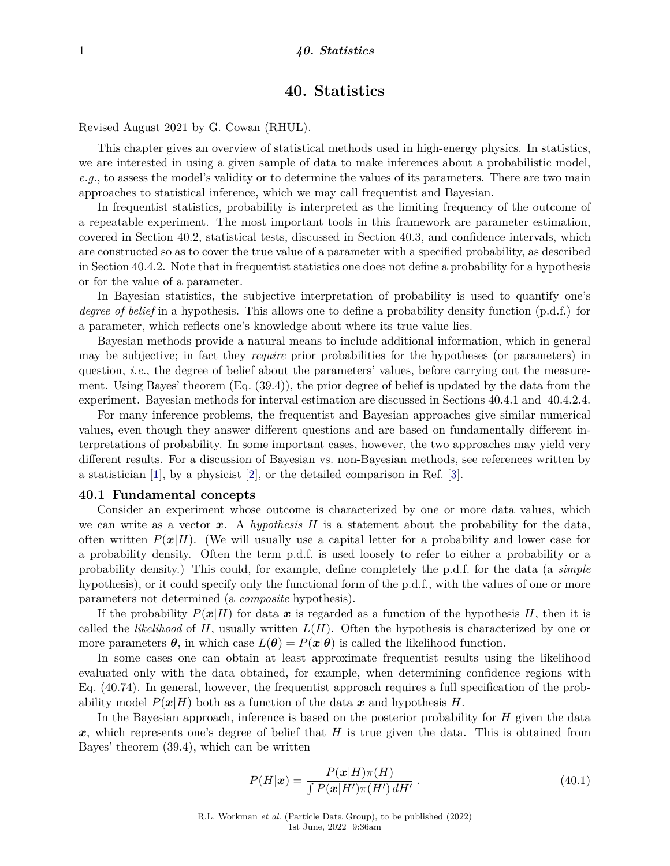Revised August 2021 by G. Cowan (RHUL).

This chapter gives an overview of statistical methods used in high-energy physics. In statistics, we are interested in using a given sample of data to make inferences about a probabilistic model, *e.g.*, to assess the model's validity or to determine the values of its parameters. There are two main approaches to statistical inference, which we may call frequentist and Bayesian.

In frequentist statistics, probability is interpreted as the limiting frequency of the outcome of a repeatable experiment. The most important tools in this framework are parameter estimation, covered in Section 40.2, statistical tests, discussed in Section 40.3, and confidence intervals, which are constructed so as to cover the true value of a parameter with a specified probability, as described in Section 40.4.2. Note that in frequentist statistics one does not define a probability for a hypothesis or for the value of a parameter.

In Bayesian statistics, the subjective interpretation of probability is used to quantify one's *degree of belief* in a hypothesis. This allows one to define a probability density function (p.d.f.) for a parameter, which reflects one's knowledge about where its true value lies.

Bayesian methods provide a natural means to include additional information, which in general may be subjective; in fact they *require* prior probabilities for the hypotheses (or parameters) in question, *i.e.*, the degree of belief about the parameters' values, before carrying out the measurement. Using Bayes' theorem (Eq. (39.4)), the prior degree of belief is updated by the data from the experiment. Bayesian methods for interval estimation are discussed in Sections 40.4.1 and 40.4.2.4.

For many inference problems, the frequentist and Bayesian approaches give similar numerical values, even though they answer different questions and are based on fundamentally different interpretations of probability. In some important cases, however, the two approaches may yield very different results. For a discussion of Bayesian vs. non-Bayesian methods, see references written by a statistician [\[1\]](#page-33-0), by a physicist [\[2\]](#page-33-1), or the detailed comparison in Ref. [\[3\]](#page-33-2).

### **40.1 Fundamental concepts**

Consider an experiment whose outcome is characterized by one or more data values, which we can write as a vector *x*. A *hypothesis H* is a statement about the probability for the data, often written  $P(\mathbf{z}|H)$ . (We will usually use a capital letter for a probability and lower case for a probability density. Often the term p.d.f. is used loosely to refer to either a probability or a probability density.) This could, for example, define completely the p.d.f. for the data (a *simple* hypothesis), or it could specify only the functional form of the p.d.f., with the values of one or more parameters not determined (a *composite* hypothesis).

If the probability  $P(x|H)$  for data x is regarded as a function of the hypothesis *H*, then it is called the *likelihood* of  $H$ , usually written  $L(H)$ . Often the hypothesis is characterized by one or more parameters  $\theta$ , in which case  $L(\theta) = P(x|\theta)$  is called the likelihood function.

In some cases one can obtain at least approximate frequentist results using the likelihood evaluated only with the data obtained, for example, when determining confidence regions with Eq. (40.74). In general, however, the frequentist approach requires a full specification of the probability model  $P(x|H)$  both as a function of the data x and hypothesis H.

In the Bayesian approach, inference is based on the posterior probability for *H* given the data *x*, which represents one's degree of belief that *H* is true given the data. This is obtained from Bayes' theorem (39.4), which can be written

$$
P(H|\mathbf{x}) = \frac{P(\mathbf{x}|H)\pi(H)}{\int P(\mathbf{x}|H')\pi(H') dH'}.
$$
\n(40.1)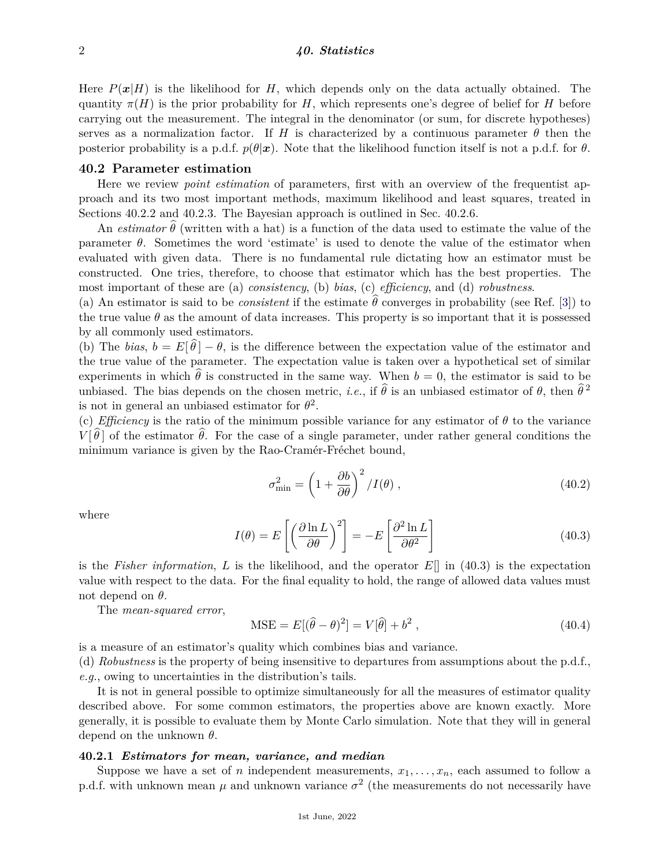Here  $P(\mathbf{x}|H)$  is the likelihood for  $H$ , which depends only on the data actually obtained. The quantity  $\pi(H)$  is the prior probability for *H*, which represents one's degree of belief for *H* before carrying out the measurement. The integral in the denominator (or sum, for discrete hypotheses) serves as a normalization factor. If *H* is characterized by a continuous parameter  $\theta$  then the posterior probability is a p.d.f.  $p(\theta|\mathbf{x})$ . Note that the likelihood function itself is not a p.d.f. for  $\theta$ .

#### **40.2 Parameter estimation**

Here we review *point estimation* of parameters, first with an overview of the frequentist approach and its two most important methods, maximum likelihood and least squares, treated in Sections 40.2.2 and 40.2.3. The Bayesian approach is outlined in Sec. 40.2.6.

An *estimator*  $\theta$  (written with a hat) is a function of the data used to estimate the value of the parameter  $\theta$ . Sometimes the word 'estimate' is used to denote the value of the estimator when evaluated with given data. There is no fundamental rule dictating how an estimator must be constructed. One tries, therefore, to choose that estimator which has the best properties. The most important of these are (a) *consistency*, (b) *bias*, (c) *efficiency*, and (d) *robustness*.

(a) An estimator is said to be *consistent* if the estimate  $\theta$  converges in probability (see Ref. [\[3\]](#page-33-2)) to the true value  $\theta$  as the amount of data increases. This property is so important that it is possessed by all commonly used estimators.

(b) The *bias*,  $b = E[\theta] - \theta$ , is the difference between the expectation value of the estimator and the true value of the parameter. The expectation value is taken over a hypothetical set of similar experiments in which  $\theta$  is constructed in the same way. When  $b = 0$ , the estimator is said to be unbiased. The bias depends on the chosen metric, *i.e.*, if  $\hat{\theta}$  is an unbiased estimator of  $\theta$ , then  $\hat{\theta}^2$ is not in general an unbiased estimator for  $\theta^2$ .

(c) *Efficiency* is the ratio of the minimum possible variance for any estimator of  $\theta$  to the variance  $V[\theta]$  of the estimator  $\theta$ . For the case of a single parameter, under rather general conditions the minimum variance is given by the Rao-Cramér-Fréchet bound,

$$
\sigma_{\min}^2 = \left(1 + \frac{\partial b}{\partial \theta}\right)^2 / I(\theta) , \qquad (40.2)
$$

where

$$
I(\theta) = E\left[\left(\frac{\partial \ln L}{\partial \theta}\right)^2\right] = -E\left[\frac{\partial^2 \ln L}{\partial \theta^2}\right]
$$
(40.3)

is the *Fisher information*, *L* is the likelihood, and the operator  $E\parallel$  in (40.3) is the expectation value with respect to the data. For the final equality to hold, the range of allowed data values must not depend on *θ*.

The *mean-squared error*,

$$
\text{MSE} = E[(\hat{\theta} - \theta)^2] = V[\hat{\theta}] + b^2 , \qquad (40.4)
$$

is a measure of an estimator's quality which combines bias and variance.

(d) *Robustness* is the property of being insensitive to departures from assumptions about the p.d.f., *e.g.*, owing to uncertainties in the distribution's tails.

It is not in general possible to optimize simultaneously for all the measures of estimator quality described above. For some common estimators, the properties above are known exactly. More generally, it is possible to evaluate them by Monte Carlo simulation. Note that they will in general depend on the unknown *θ*.

## **40.2.1** *Estimators for mean, variance, and median*

Suppose we have a set of *n* independent measurements,  $x_1, \ldots, x_n$ , each assumed to follow a p.d.f. with unknown mean  $\mu$  and unknown variance  $\sigma^2$  (the measurements do not necessarily have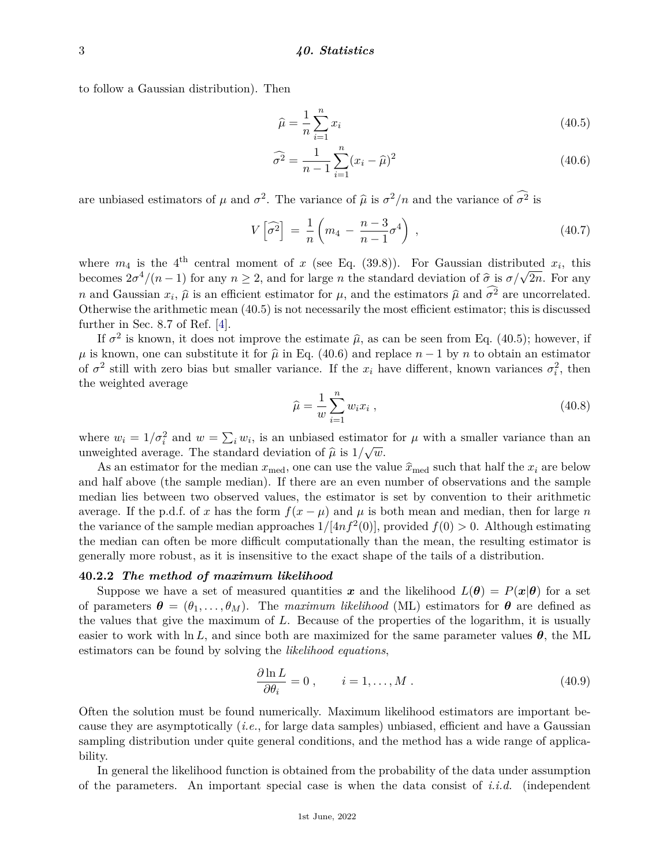to follow a Gaussian distribution). Then

$$
\widehat{\mu} = \frac{1}{n} \sum_{i=1}^{n} x_i
$$
\n(40.5)

$$
\widehat{\sigma}^2 = \frac{1}{n-1} \sum_{i=1}^n (x_i - \widehat{\mu})^2
$$
\n(40.6)

are unbiased estimators of  $\mu$  and  $\sigma^2$ . The variance of  $\hat{\mu}$  is  $\sigma^2/n$  and the variance of  $\sigma^2$  is

$$
V\left[\widehat{\sigma^2}\right] = \frac{1}{n}\left(m_4 - \frac{n-3}{n-1}\sigma^4\right) \,,\tag{40.7}
$$

where  $m_4$  is the 4<sup>th</sup> central moment of *x* (see Eq. (39.8)). For Gaussian distributed  $x_i$ , this where  $m_4$  is the 4<sup>*n*</sup> central moment of x (see Eq. (39.8)). For Gaussian distributed  $x_i$ , this becomes  $2\sigma^4/(n-1)$  for any  $n \ge 2$ , and for large *n* the standard deviation of  $\hat{\sigma}$  is  $\sigma/\sqrt{2n}$ . For any *n* and Gaussian  $x_i$ ,  $\hat{\mu}$  is an efficient estimator for  $\mu$ , and the estimators  $\hat{\mu}$  and  $\sigma^2$  are uncorrelated. Otherwise the arithmetic mean (40.5) is not necessarily the most efficient estimator; this is discussed further in Sec. 8.7 of Ref. [\[4\]](#page-33-3).

If  $\sigma^2$  is known, it does not improve the estimate  $\hat{\mu}$ , as can be seen from Eq. (40.5); however, if  $\mu$  is known, one can substitute it for  $\hat{\mu}$  in Eq. (40.6) and replace  $n-1$  by *n* to obtain an estimator of  $\sigma^2$  still with zero bias but smaller variance. If the  $x_i$  have different, known variances  $\sigma_i^2$ , then the weighted average

$$
\hat{\mu} = \frac{1}{w} \sum_{i=1}^{n} w_i x_i , \qquad (40.8)
$$

where  $w_i = 1/\sigma_i^2$  and  $w = \sum_i w_i$ , is an unbiased estimator for  $\mu$  with a smaller variance than an unweighted average. The standard deviation of  $\hat{\mu}$  is  $1/\sqrt{w}$ .

As an estimator for the median  $x_{\text{med}}$ , one can use the value  $\hat{x}_{\text{med}}$  such that half the  $x_i$  are below and half above (the sample median). If there are an even number of observations and the sample median lies between two observed values, the estimator is set by convention to their arithmetic average. If the p.d.f. of x has the form  $f(x - \mu)$  and  $\mu$  is both mean and median, then for large n the variance of the sample median approaches  $1/[4nf^2(0)]$ , provided  $f(0) > 0$ . Although estimating the median can often be more difficult computationally than the mean, the resulting estimator is generally more robust, as it is insensitive to the exact shape of the tails of a distribution.

#### **40.2.2** *The method of maximum likelihood*

Suppose we have a set of measured quantities x and the likelihood  $L(\theta) = P(x|\theta)$  for a set of parameters  $\theta = (\theta_1, \dots, \theta_M)$ . The *maximum likelihood* (ML) estimators for  $\theta$  are defined as the values that give the maximum of *L*. Because of the properties of the logarithm, it is usually easier to work with ln L, and since both are maximized for the same parameter values  $\theta$ , the ML estimators can be found by solving the *likelihood equations*,

$$
\frac{\partial \ln L}{\partial \theta_i} = 0, \qquad i = 1, \dots, M. \tag{40.9}
$$

Often the solution must be found numerically. Maximum likelihood estimators are important because they are asymptotically (*i.e.*, for large data samples) unbiased, efficient and have a Gaussian sampling distribution under quite general conditions, and the method has a wide range of applicability.

In general the likelihood function is obtained from the probability of the data under assumption of the parameters. An important special case is when the data consist of *i.i.d.* (independent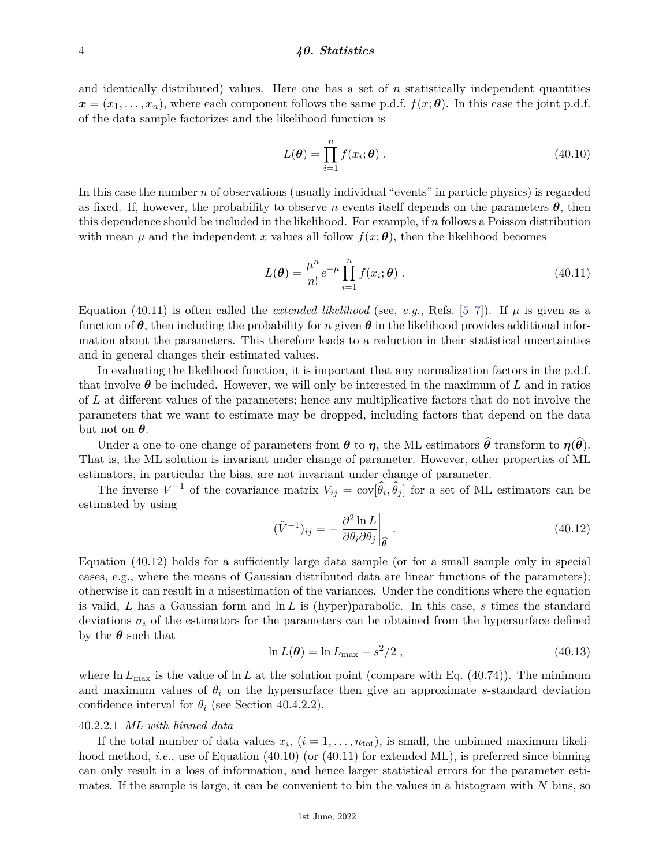and identically distributed) values. Here one has a set of *n* statistically independent quantities  $x = (x_1, \ldots, x_n)$ , where each component follows the same p.d.f.  $f(x; \theta)$ . In this case the joint p.d.f. of the data sample factorizes and the likelihood function is

$$
L(\boldsymbol{\theta}) = \prod_{i=1}^{n} f(x_i; \boldsymbol{\theta}) \,. \tag{40.10}
$$

In this case the number *n* of observations (usually individual "events" in particle physics) is regarded as fixed. If, however, the probability to observe *n* events itself depends on the parameters *θ*, then this dependence should be included in the likelihood. For example, if *n* follows a Poisson distribution with mean  $\mu$  and the independent *x* values all follow  $f(x; \theta)$ , then the likelihood becomes

$$
L(\boldsymbol{\theta}) = \frac{\mu^n}{n!} e^{-\mu} \prod_{i=1}^n f(x_i; \boldsymbol{\theta}) .
$$
 (40.11)

Equation (40.11) is often called the *extended likelihood* (see, *e.g.*, Refs. [\[5](#page-33-4)[–7\]](#page-33-5)). If  $\mu$  is given as a function of  $\theta$ , then including the probability for *n* given  $\theta$  in the likelihood provides additional information about the parameters. This therefore leads to a reduction in their statistical uncertainties and in general changes their estimated values.

In evaluating the likelihood function, it is important that any normalization factors in the p.d.f. that involve *θ* be included. However, we will only be interested in the maximum of *L* and in ratios of *L* at different values of the parameters; hence any multiplicative factors that do not involve the parameters that we want to estimate may be dropped, including factors that depend on the data but not on *θ*.

Under a one-to-one change of parameters from  $\theta$  to  $\eta$ , the ML estimators  $\theta$  transform to  $\eta(\theta)$ . That is, the ML solution is invariant under change of parameter. However, other properties of ML estimators, in particular the bias, are not invariant under change of parameter.

The inverse  $V^{-1}$  of the covariance matrix  $V_{ij} = \text{cov}[\hat{\theta}_i, \hat{\theta}_j]$  for a set of ML estimators can be estimated by using

$$
(\hat{V}^{-1})_{ij} = -\frac{\partial^2 \ln L}{\partial \theta_i \partial \theta_j} \bigg|_{\widehat{\theta}} \tag{40.12}
$$

Equation (40.12) holds for a sufficiently large data sample (or for a small sample only in special cases, e.g., where the means of Gaussian distributed data are linear functions of the parameters); otherwise it can result in a misestimation of the variances. Under the conditions where the equation is valid, *L* has a Gaussian form and ln *L* is (hyper)parabolic. In this case, *s* times the standard deviations  $\sigma_i$  of the estimators for the parameters can be obtained from the hypersurface defined by the  $\theta$  such that

$$
\ln L(\theta) = \ln L_{\text{max}} - s^2/2 , \qquad (40.13)
$$

where  $\ln L_{\text{max}}$  is the value of  $\ln L$  at the solution point (compare with Eq. (40.74)). The minimum and maximum values of  $\theta_i$  on the hypersurface then give an approximate *s*-standard deviation confidence interval for  $\theta_i$  (see Section 40.4.2.2).

#### 40.2.2.1 *ML with binned data*

If the total number of data values  $x_i$ ,  $(i = 1, \ldots, n_{tot})$ , is small, the unbinned maximum likelihood method, *i.e.*, use of Equation (40.10) (or (40.11) for extended ML), is preferred since binning can only result in a loss of information, and hence larger statistical errors for the parameter estimates. If the sample is large, it can be convenient to bin the values in a histogram with *N* bins, so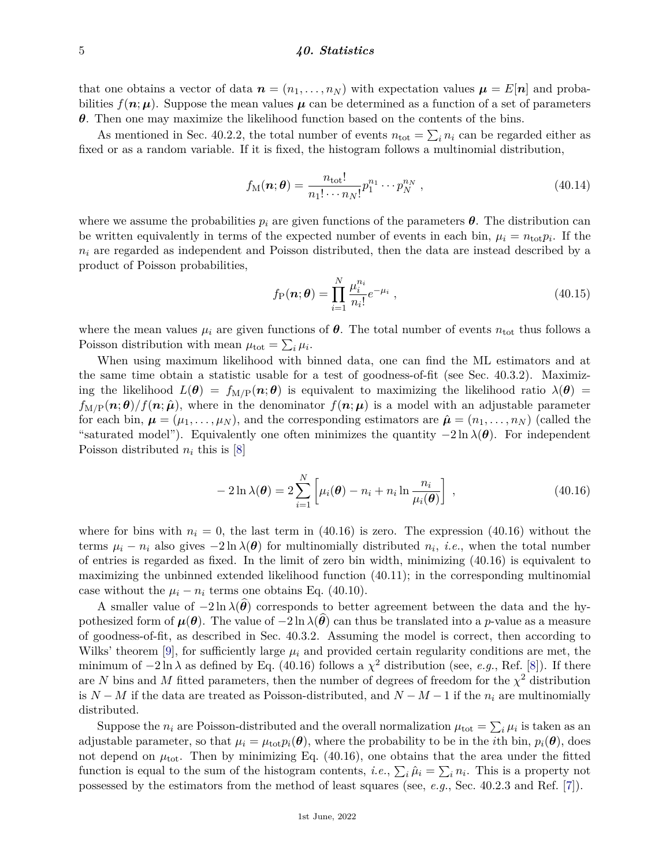that one obtains a vector of data  $\mathbf{n} = (n_1, \ldots, n_N)$  with expectation values  $\mathbf{\mu} = E[\mathbf{n}]$  and probabilities  $f(n; \mu)$ . Suppose the mean values  $\mu$  can be determined as a function of a set of parameters *θ*. Then one may maximize the likelihood function based on the contents of the bins.

As mentioned in Sec. 40.2.2, the total number of events  $n_{\text{tot}} = \sum_{i} n_i$  can be regarded either as fixed or as a random variable. If it is fixed, the histogram follows a multinomial distribution,

$$
f_{\mathcal{M}}(\boldsymbol{n};\boldsymbol{\theta}) = \frac{n_{\text{tot}}!}{n_1! \cdots n_N!} p_1^{n_1} \cdots p_N^{n_N} , \qquad (40.14)
$$

where we assume the probabilities  $p_i$  are given functions of the parameters  $\boldsymbol{\theta}$ . The distribution can be written equivalently in terms of the expected number of events in each bin,  $\mu_i = n_{\text{tot}} p_i$ . If the  $n_i$  are regarded as independent and Poisson distributed, then the data are instead described by a product of Poisson probabilities,

$$
f_{\rm P}(\boldsymbol{n};\boldsymbol{\theta}) = \prod_{i=1}^{N} \frac{\mu_i^{n_i}}{n_i!} e^{-\mu_i} , \qquad (40.15)
$$

where the mean values  $\mu_i$  are given functions of  $\theta$ . The total number of events  $n_{\text{tot}}$  thus follows a Poisson distribution with mean  $\mu_{\text{tot}} = \sum_i \mu_i$ .

When using maximum likelihood with binned data, one can find the ML estimators and at the same time obtain a statistic usable for a test of goodness-of-fit (see Sec. 40.3.2). Maximizing the likelihood  $L(\theta) = f_{M/P}(n;\theta)$  is equivalent to maximizing the likelihood ratio  $\lambda(\theta)$  $f_{M/P}(n;\theta)/f(n;\hat{\mu})$ , where in the denominator  $f(n;\mu)$  is a model with an adjustable parameter for each bin,  $\mu = (\mu_1, \ldots, \mu_N)$ , and the corresponding estimators are  $\hat{\mu} = (n_1, \ldots, n_N)$  (called the "saturated model"). Equivalently one often minimizes the quantity  $-2 \ln \lambda(\theta)$ . For independent Poisson distributed *n<sup>i</sup>* this is [\[8\]](#page-33-6)

$$
-2\ln\lambda(\boldsymbol{\theta}) = 2\sum_{i=1}^{N} \left[ \mu_i(\boldsymbol{\theta}) - n_i + n_i \ln\frac{n_i}{\mu_i(\boldsymbol{\theta})} \right],
$$
\n(40.16)

where for bins with  $n_i = 0$ , the last term in (40.16) is zero. The expression (40.16) without the terms  $\mu_i - n_i$  also gives  $-2 \ln \lambda(\theta)$  for multinomially distributed  $n_i$ , *i.e.*, when the total number of entries is regarded as fixed. In the limit of zero bin width, minimizing  $(40.16)$  is equivalent to maximizing the unbinned extended likelihood function (40.11); in the corresponding multinomial case without the  $\mu_i - n_i$  terms one obtains Eq. (40.10).

A smaller value of  $-2 \ln \lambda(\theta)$  corresponds to better agreement between the data and the hypothesized form of  $\mu(\theta)$ . The value of  $-2 \ln \lambda(\theta)$  can thus be translated into a *p*-value as a measure of goodness-of-fit, as described in Sec. 40.3.2. Assuming the model is correct, then according to Wilks' theorem [\[9\]](#page-33-7), for sufficiently large  $\mu_i$  and provided certain regularity conditions are met, the minimum of  $-2 \ln \lambda$  as defined by Eq. (40.16) follows a  $\chi^2$  distribution (see, *e.g.*, Ref. [\[8\]](#page-33-6)). If there are *N* bins and *M* fitted parameters, then the number of degrees of freedom for the  $\chi^2$  distribution is  $N - M$  if the data are treated as Poisson-distributed, and  $N - M - 1$  if the  $n_i$  are multinomially distributed.

Suppose the  $n_i$  are Poisson-distributed and the overall normalization  $\mu_{\text{tot}} = \sum_i \mu_i$  is taken as an adjustable parameter, so that  $\mu_i = \mu_{\text{tot}} p_i(\theta)$ , where the probability to be in the *i*th bin,  $p_i(\theta)$ , does not depend on  $\mu_{\text{tot}}$ . Then by minimizing Eq.  $(40.16)$ , one obtains that the area under the fitted function is equal to the sum of the histogram contents, *i.e.*,  $\sum_i \hat{\mu}_i = \sum_i n_i$ . This is a property not possessed by the estimators from the method of least squares (see, *e.g.*, Sec. 40.2.3 and Ref. [\[7\]](#page-33-5)).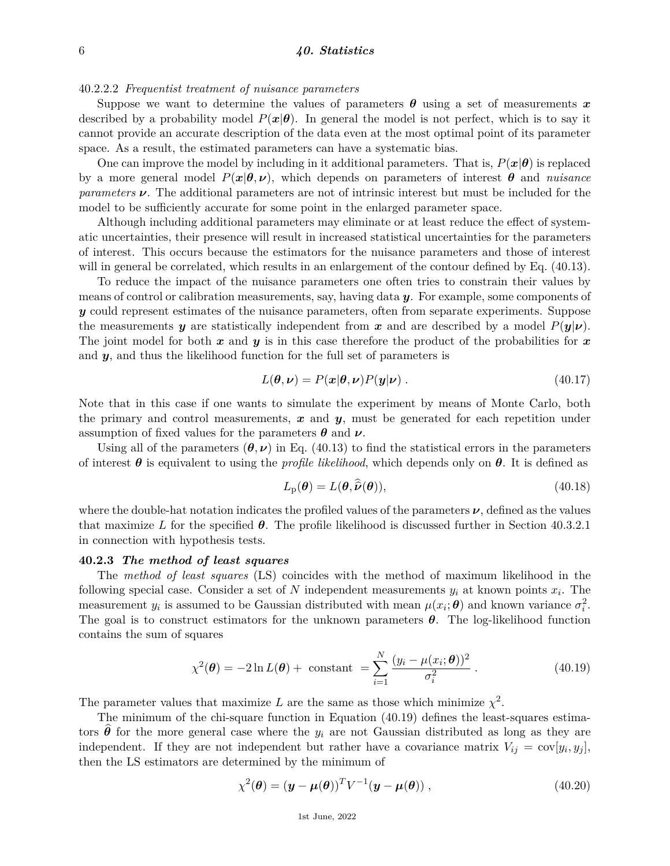40.2.2.2 *Frequentist treatment of nuisance parameters*

Suppose we want to determine the values of parameters  $\theta$  using a set of measurements  $\boldsymbol{x}$ described by a probability model  $P(x|\theta)$ . In general the model is not perfect, which is to say it cannot provide an accurate description of the data even at the most optimal point of its parameter space. As a result, the estimated parameters can have a systematic bias.

One can improve the model by including in it additional parameters. That is,  $P(\mathbf{x}|\boldsymbol{\theta})$  is replaced by a more general model  $P(x|\theta, \nu)$ , which depends on parameters of interest  $\theta$  and *nuisance parameters ν*. The additional parameters are not of intrinsic interest but must be included for the model to be sufficiently accurate for some point in the enlarged parameter space.

Although including additional parameters may eliminate or at least reduce the effect of systematic uncertainties, their presence will result in increased statistical uncertainties for the parameters of interest. This occurs because the estimators for the nuisance parameters and those of interest will in general be correlated, which results in an enlargement of the contour defined by Eq. (40.13).

To reduce the impact of the nuisance parameters one often tries to constrain their values by means of control or calibration measurements, say, having data *y*. For example, some components of *y* could represent estimates of the nuisance parameters, often from separate experiments. Suppose the measurements *y* are statistically independent from *x* and are described by a model  $P(y|\nu)$ . The joint model for both *x* and *y* is in this case therefore the product of the probabilities for *x* and *y*, and thus the likelihood function for the full set of parameters is

$$
L(\boldsymbol{\theta}, \boldsymbol{\nu}) = P(\boldsymbol{x}|\boldsymbol{\theta}, \boldsymbol{\nu}) P(\boldsymbol{y}|\boldsymbol{\nu}) . \qquad (40.17)
$$

Note that in this case if one wants to simulate the experiment by means of Monte Carlo, both the primary and control measurements, *x* and *y*, must be generated for each repetition under assumption of fixed values for the parameters  $\theta$  and  $\nu$ .

Using all of the parameters  $(\theta, \nu)$  in Eq. (40.13) to find the statistical errors in the parameters of interest *θ* is equivalent to using the *profile likelihood*, which depends only on *θ*. It is defined as

$$
L_{\mathbf{p}}(\boldsymbol{\theta}) = L(\boldsymbol{\theta}, \widehat{\boldsymbol{\nu}}(\boldsymbol{\theta})), \tag{40.18}
$$

where the double-hat notation indicates the profiled values of the parameters *ν*, defined as the values that maximize *L* for the specified *θ*. The profile likelihood is discussed further in Section 40.3.2.1 in connection with hypothesis tests.

## **40.2.3** *The method of least squares*

The *method of least squares* (LS) coincides with the method of maximum likelihood in the following special case. Consider a set of  $N$  independent measurements  $y_i$  at known points  $x_i$ . The measurement  $y_i$  is assumed to be Gaussian distributed with mean  $\mu(x_i; \theta)$  and known variance  $\sigma_i^2$ . The goal is to construct estimators for the unknown parameters *θ*. The log-likelihood function contains the sum of squares

$$
\chi^2(\boldsymbol{\theta}) = -2\ln L(\boldsymbol{\theta}) + \text{ constant } = \sum_{i=1}^N \frac{(y_i - \mu(x_i; \boldsymbol{\theta}))^2}{\sigma_i^2} \,. \tag{40.19}
$$

The parameter values that maximize L are the same as those which minimize  $\chi^2$ .

The minimum of the chi-square function in Equation (40.19) defines the least-squares estimators  $\hat{\theta}$  for the more general case where the  $y_i$  are not Gaussian distributed as long as they are independent. If they are not independent but rather have a covariance matrix  $V_{ij} = \text{cov}[y_i, y_j],$ then the LS estimators are determined by the minimum of

$$
\chi^2(\boldsymbol{\theta}) = (\boldsymbol{y} - \boldsymbol{\mu}(\boldsymbol{\theta}))^T V^{-1} (\boldsymbol{y} - \boldsymbol{\mu}(\boldsymbol{\theta})) \,, \tag{40.20}
$$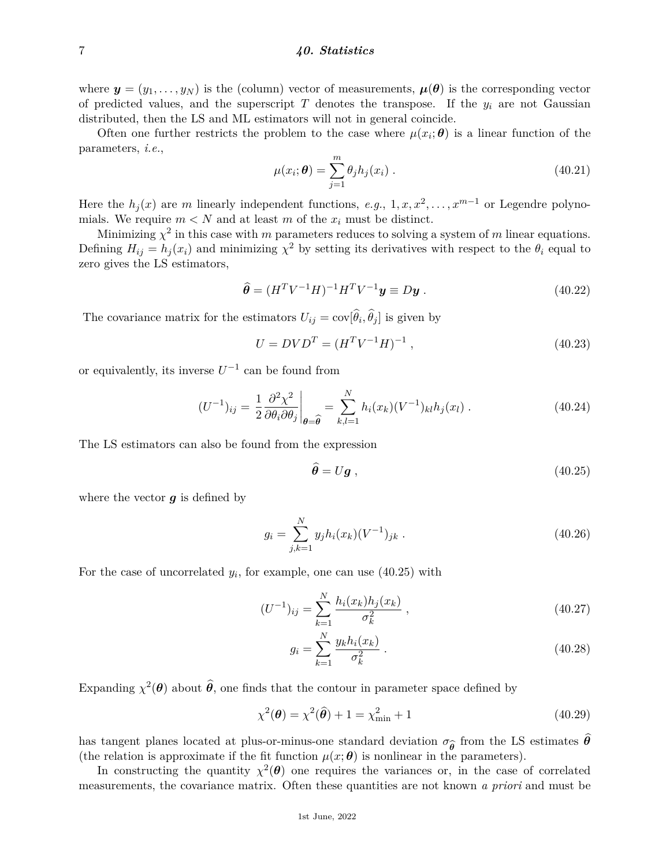where  $y = (y_1, \ldots, y_N)$  is the (column) vector of measurements,  $\mu(\theta)$  is the corresponding vector of predicted values, and the superscript  $T$  denotes the transpose. If the  $y_i$  are not Gaussian distributed, then the LS and ML estimators will not in general coincide.

Often one further restricts the problem to the case where  $\mu(x_i; \theta)$  is a linear function of the parameters, *i.e.*,

$$
\mu(x_i; \boldsymbol{\theta}) = \sum_{j=1}^{m} \theta_j h_j(x_i) .
$$
\n(40.21)

Here the  $h_j(x)$  are *m* linearly independent functions, *e.g.*, 1, x,  $x^2, \ldots, x^{m-1}$  or Legendre polynomials. We require  $m < N$  and at least m of the  $x_i$  must be distinct.

Minimizing  $\chi^2$  in this case with *m* parameters reduces to solving a system of *m* linear equations. Defining  $H_{ij} = h_j(x_i)$  and minimizing  $\chi^2$  by setting its derivatives with respect to the  $\theta_i$  equal to zero gives the LS estimators,

$$
\hat{\theta} = (H^T V^{-1} H)^{-1} H^T V^{-1} \mathbf{y} \equiv D \mathbf{y} . \tag{40.22}
$$

The covariance matrix for the estimators  $U_{ij} = \text{cov}[\theta_i, \theta_j]$  is given by

$$
U = DVD^{T} = (H^{T}V^{-1}H)^{-1}, \qquad (40.23)
$$

or equivalently, its inverse  $U^{-1}$  can be found from

$$
(U^{-1})_{ij} = \frac{1}{2} \frac{\partial^2 \chi^2}{\partial \theta_i \partial \theta_j} \bigg|_{\theta = \widehat{\theta}} = \sum_{k,l=1}^N h_i(x_k) (V^{-1})_{kl} h_j(x_l) . \tag{40.24}
$$

The LS estimators can also be found from the expression

$$
\hat{\boldsymbol{\theta}} = U\boldsymbol{g} \;, \tag{40.25}
$$

where the vector  $g$  is defined by

$$
g_i = \sum_{j,k=1}^{N} y_j h_i(x_k) (V^{-1})_{jk} .
$$
 (40.26)

For the case of uncorrelated  $y_i$ , for example, one can use  $(40.25)$  with

$$
(U^{-1})_{ij} = \sum_{k=1}^{N} \frac{h_i(x_k)h_j(x_k)}{\sigma_k^2}, \qquad (40.27)
$$

$$
g_i = \sum_{k=1}^{N} \frac{y_k h_i(x_k)}{\sigma_k^2} \,. \tag{40.28}
$$

Expanding  $\chi^2(\theta)$  about  $\widehat{\theta}$ , one finds that the contour in parameter space defined by

$$
\chi^2(\boldsymbol{\theta}) = \chi^2(\widehat{\boldsymbol{\theta}}) + 1 = \chi^2_{\min} + 1 \tag{40.29}
$$

has tangent planes located at plus-or-minus-one standard deviation  $\sigma_{\hat{\theta}}$  from the LS estimates  $\theta$ (the relation is approximate if the fit function  $\mu(x; \theta)$  is nonlinear in the parameters).

In constructing the quantity  $\chi^2(\theta)$  one requires the variances or, in the case of correlated measurements, the covariance matrix. Often these quantities are not known *a priori* and must be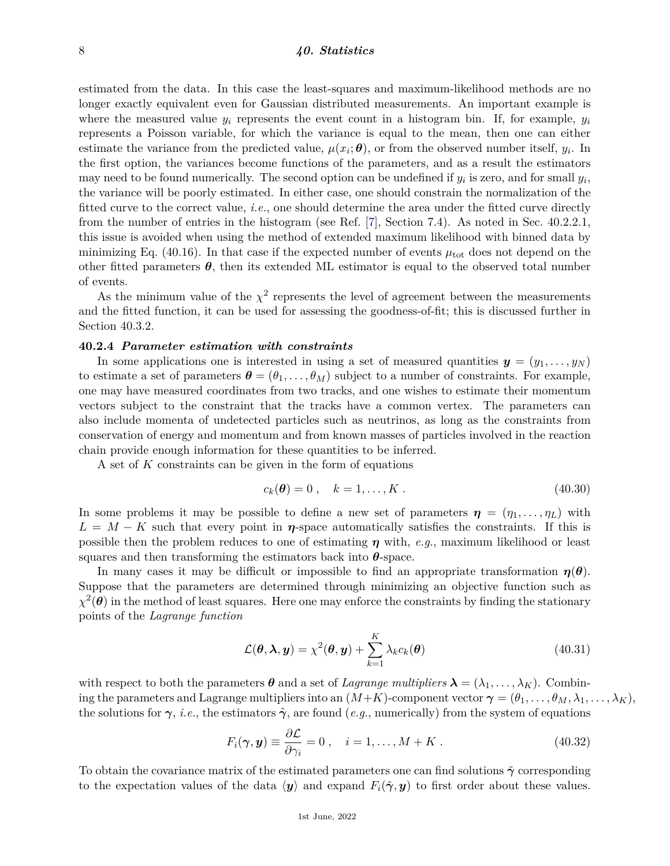estimated from the data. In this case the least-squares and maximum-likelihood methods are no longer exactly equivalent even for Gaussian distributed measurements. An important example is where the measured value  $y_i$  represents the event count in a histogram bin. If, for example,  $y_i$ represents a Poisson variable, for which the variance is equal to the mean, then one can either estimate the variance from the predicted value,  $\mu(x_i; \theta)$ , or from the observed number itself,  $y_i$ . In the first option, the variances become functions of the parameters, and as a result the estimators may need to be found numerically. The second option can be undefined if  $y_i$  is zero, and for small  $y_i$ , the variance will be poorly estimated. In either case, one should constrain the normalization of the fitted curve to the correct value, *i.e.*, one should determine the area under the fitted curve directly from the number of entries in the histogram (see Ref. [\[7\]](#page-33-5), Section 7.4). As noted in Sec. 40.2.2.1, this issue is avoided when using the method of extended maximum likelihood with binned data by minimizing Eq. (40.16). In that case if the expected number of events  $\mu_{\text{tot}}$  does not depend on the other fitted parameters  $\theta$ , then its extended ML estimator is equal to the observed total number of events.

As the minimum value of the  $\chi^2$  represents the level of agreement between the measurements and the fitted function, it can be used for assessing the goodness-of-fit; this is discussed further in Section 40.3.2.

#### **40.2.4** *Parameter estimation with constraints*

In some applications one is interested in using a set of measured quantities  $y = (y_1, \ldots, y_N)$ to estimate a set of parameters  $\boldsymbol{\theta} = (\theta_1, \dots, \theta_M)$  subject to a number of constraints. For example, one may have measured coordinates from two tracks, and one wishes to estimate their momentum vectors subject to the constraint that the tracks have a common vertex. The parameters can also include momenta of undetected particles such as neutrinos, as long as the constraints from conservation of energy and momentum and from known masses of particles involved in the reaction chain provide enough information for these quantities to be inferred.

A set of *K* constraints can be given in the form of equations

$$
c_k(\boldsymbol{\theta}) = 0 \;, \quad k = 1, \ldots, K \; . \tag{40.30}
$$

In some problems it may be possible to define a new set of parameters  $\eta = (\eta_1, \ldots, \eta_L)$  with  $L = M - K$  such that every point in *η*-space automatically satisfies the constraints. If this is possible then the problem reduces to one of estimating *η* with, *e.g.*, maximum likelihood or least squares and then transforming the estimators back into  $\theta$ -space.

In many cases it may be difficult or impossible to find an appropriate transformation  $\eta(\theta)$ . Suppose that the parameters are determined through minimizing an objective function such as  $\chi^2(\theta)$  in the method of least squares. Here one may enforce the constraints by finding the stationary points of the *Lagrange function*

$$
\mathcal{L}(\boldsymbol{\theta}, \boldsymbol{\lambda}, \boldsymbol{y}) = \chi^2(\boldsymbol{\theta}, \boldsymbol{y}) + \sum_{k=1}^K \lambda_k c_k(\boldsymbol{\theta})
$$
\n(40.31)

with respect to both the parameters  $\theta$  and a set of *Lagrange multipliers*  $\lambda = (\lambda_1, \dots, \lambda_K)$ . Combining the parameters and Lagrange multipliers into an  $(M+K)$ -component vector  $\gamma = (\theta_1, \ldots, \theta_M, \lambda_1, \ldots, \lambda_K)$ , the solutions for  $\gamma$ , *i.e.*, the estimators  $\hat{\gamma}$ , are found (*e.g.*, numerically) from the system of equations

$$
F_i(\gamma, \mathbf{y}) \equiv \frac{\partial \mathcal{L}}{\partial \gamma_i} = 0 \;, \quad i = 1, \dots, M + K \; . \tag{40.32}
$$

To obtain the covariance matrix of the estimated parameters one can find solutions *γ*˜ corresponding to the expectation values of the data  $\langle y \rangle$  and expand  $F_i(\hat{\gamma}, y)$  to first order about these values.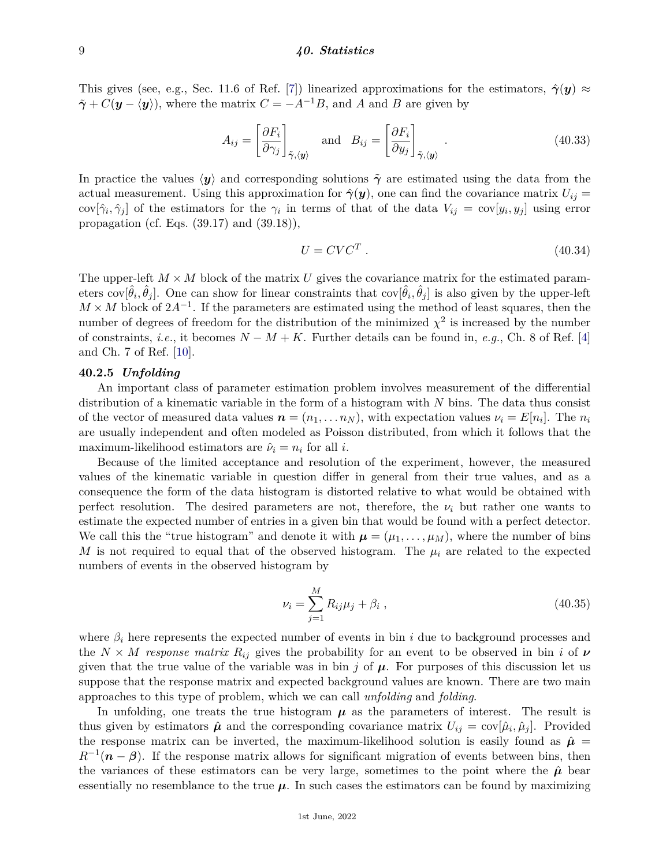This gives (see, e.g., Sec. 11.6 of Ref. [\[7\]](#page-33-5)) linearized approximations for the estimators,  $\hat{\gamma}(\mathbf{y}) \approx$  $\tilde{\gamma}$  +  $C(\mathbf{y} - \langle \mathbf{y} \rangle)$ , where the matrix  $C = -A^{-1}B$ , and *A* and *B* are given by

$$
A_{ij} = \left[\frac{\partial F_i}{\partial \gamma_j}\right]_{\tilde{\gamma}, \langle y \rangle} \quad \text{and} \quad B_{ij} = \left[\frac{\partial F_i}{\partial y_j}\right]_{\tilde{\gamma}, \langle y \rangle} . \tag{40.33}
$$

In practice the values  $\langle y \rangle$  and corresponding solutions  $\tilde{\gamma}$  are estimated using the data from the actual measurement. Using this approximation for  $\hat{\gamma}(\mathbf{y})$ , one can find the covariance matrix  $U_{ij} =$  $cov[\hat{\gamma}_i, \hat{\gamma}_j]$  of the estimators for the  $\gamma_i$  in terms of that of the data  $V_{ij} = cov[y_i, y_j]$  using error propagation (cf. Eqs. (39.17) and (39.18)),

$$
U = CVC^T. \tag{40.34}
$$

The upper-left  $M \times M$  block of the matrix *U* gives the covariance matrix for the estimated parameters  $\overline{\text{cov}}[\hat{\theta}_i, \hat{\theta}_j]$ . One can show for linear constraints that  $\text{cov}[\hat{\theta}_i, \hat{\theta}_j]$  is also given by the upper-left  $M \times M$  block of  $2A^{-1}$ . If the parameters are estimated using the method of least squares, then the number of degrees of freedom for the distribution of the minimized  $\chi^2$  is increased by the number of constraints, *i.e.*, it becomes *N* − *M* + *K*. Further details can be found in, *e.g.*, Ch. 8 of Ref. [\[4\]](#page-33-3) and Ch. 7 of Ref. [\[10\]](#page-33-8).

#### **40.2.5** *Unfolding*

An important class of parameter estimation problem involves measurement of the differential distribution of a kinematic variable in the form of a histogram with *N* bins. The data thus consist of the vector of measured data values  $n = (n_1, \ldots, n_N)$ , with expectation values  $\nu_i = E[n_i]$ . The  $n_i$ are usually independent and often modeled as Poisson distributed, from which it follows that the maximum-likelihood estimators are  $\hat{\nu}_i = n_i$  for all *i*.

Because of the limited acceptance and resolution of the experiment, however, the measured values of the kinematic variable in question differ in general from their true values, and as a consequence the form of the data histogram is distorted relative to what would be obtained with perfect resolution. The desired parameters are not, therefore, the  $\nu_i$  but rather one wants to estimate the expected number of entries in a given bin that would be found with a perfect detector. We call this the "true histogram" and denote it with  $\mu = (\mu_1, \ldots, \mu_M)$ , where the number of bins *M* is not required to equal that of the observed histogram. The  $\mu_i$  are related to the expected numbers of events in the observed histogram by

$$
\nu_i = \sum_{j=1}^{M} R_{ij} \mu_j + \beta_i , \qquad (40.35)
$$

where  $\beta_i$  here represents the expected number of events in bin *i* due to background processes and the  $N \times M$  *response matrix*  $R_{ij}$  gives the probability for an event to be observed in bin *i* of  $\nu$ given that the true value of the variable was in bin  $j$  of  $\mu$ . For purposes of this discussion let us suppose that the response matrix and expected background values are known. There are two main approaches to this type of problem, which we can call *unfolding* and *folding*.

In unfolding, one treats the true histogram  $\mu$  as the parameters of interest. The result is thus given by estimators  $\hat{\mu}$  and the corresponding covariance matrix  $U_{ij} = \text{cov}[\hat{\mu}_i, \hat{\mu}_j]$ . Provided the response matrix can be inverted, the maximum-likelihood solution is easily found as  $\hat{\mu}$  =  $R^{-1}(n-\beta)$ . If the response matrix allows for significant migration of events between bins, then the variances of these estimators can be very large, sometimes to the point where the  $\hat{\mu}$  bear essentially no resemblance to the true  $\mu$ . In such cases the estimators can be found by maximizing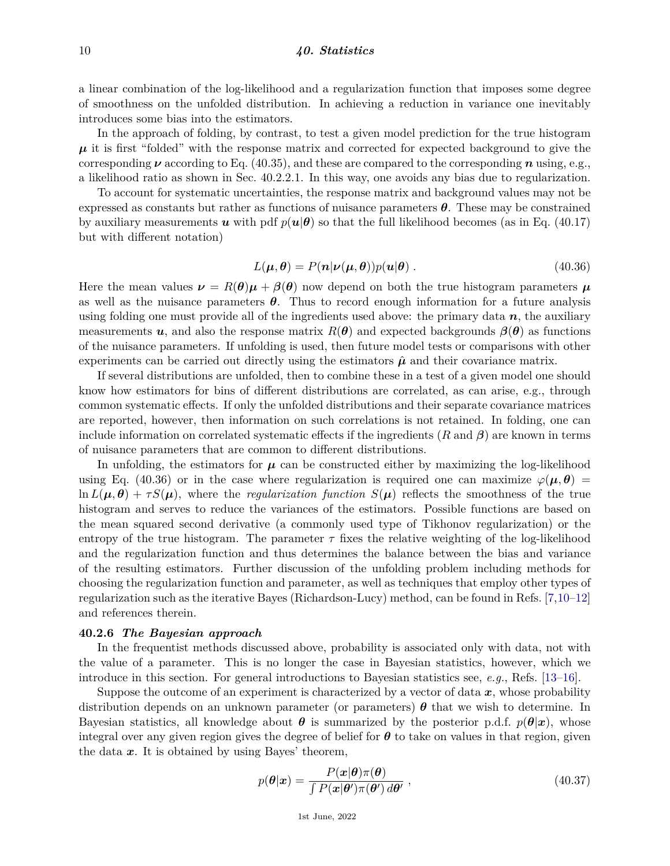a linear combination of the log-likelihood and a regularization function that imposes some degree of smoothness on the unfolded distribution. In achieving a reduction in variance one inevitably introduces some bias into the estimators.

In the approach of folding, by contrast, to test a given model prediction for the true histogram  $\mu$  it is first "folded" with the response matrix and corrected for expected background to give the corresponding *ν* according to Eq. (40.35), and these are compared to the corresponding *n* using, e.g., a likelihood ratio as shown in Sec. 40.2.2.1. In this way, one avoids any bias due to regularization.

To account for systematic uncertainties, the response matrix and background values may not be expressed as constants but rather as functions of nuisance parameters *θ*. These may be constrained by auxiliary measurements *u* with pdf  $p(u|\theta)$  so that the full likelihood becomes (as in Eq. (40.17) but with different notation)

$$
L(\boldsymbol{\mu}, \boldsymbol{\theta}) = P(n|\boldsymbol{\nu}(\boldsymbol{\mu}, \boldsymbol{\theta}))p(u|\boldsymbol{\theta}). \qquad (40.36)
$$

Here the mean values  $\nu = R(\theta)\mu + \beta(\theta)$  now depend on both the true histogram parameters  $\mu$ as well as the nuisance parameters  $\theta$ . Thus to record enough information for a future analysis using folding one must provide all of the ingredients used above: the primary data *n*, the auxiliary measurements *u*, and also the response matrix  $R(\theta)$  and expected backgrounds  $\beta(\theta)$  as functions of the nuisance parameters. If unfolding is used, then future model tests or comparisons with other experiments can be carried out directly using the estimators  $\hat{\mu}$  and their covariance matrix.

If several distributions are unfolded, then to combine these in a test of a given model one should know how estimators for bins of different distributions are correlated, as can arise, e.g., through common systematic effects. If only the unfolded distributions and their separate covariance matrices are reported, however, then information on such correlations is not retained. In folding, one can include information on correlated systematic effects if the ingredients (*R* and *β*) are known in terms of nuisance parameters that are common to different distributions.

In unfolding, the estimators for  $\mu$  can be constructed either by maximizing the log-likelihood using Eq. (40.36) or in the case where regularization is required one can maximize  $\varphi(\mu, \theta)$  $\ln L(\mu, \theta) + \tau S(\mu)$ , where the *regularization function*  $S(\mu)$  reflects the smoothness of the true histogram and serves to reduce the variances of the estimators. Possible functions are based on the mean squared second derivative (a commonly used type of Tikhonov regularization) or the entropy of the true histogram. The parameter  $\tau$  fixes the relative weighting of the log-likelihood and the regularization function and thus determines the balance between the bias and variance of the resulting estimators. Further discussion of the unfolding problem including methods for choosing the regularization function and parameter, as well as techniques that employ other types of regularization such as the iterative Bayes (Richardson-Lucy) method, can be found in Refs. [\[7,](#page-33-5)[10–](#page-33-8)[12\]](#page-33-9) and references therein.

#### **40.2.6** *The Bayesian approach*

In the frequentist methods discussed above, probability is associated only with data, not with the value of a parameter. This is no longer the case in Bayesian statistics, however, which we introduce in this section. For general introductions to Bayesian statistics see, *e.g.*, Refs. [\[13](#page-33-10)[–16\]](#page-33-11).

Suppose the outcome of an experiment is characterized by a vector of data *x*, whose probability distribution depends on an unknown parameter (or parameters) *θ* that we wish to determine. In Bayesian statistics, all knowledge about  $\theta$  is summarized by the posterior p.d.f.  $p(\theta|\mathbf{x})$ , whose integral over any given region gives the degree of belief for  $\theta$  to take on values in that region, given the data *x*. It is obtained by using Bayes' theorem,

$$
p(\theta|\mathbf{x}) = \frac{P(\mathbf{x}|\theta)\pi(\theta)}{\int P(\mathbf{x}|\theta')\pi(\theta') d\theta'},
$$
\n(40.37)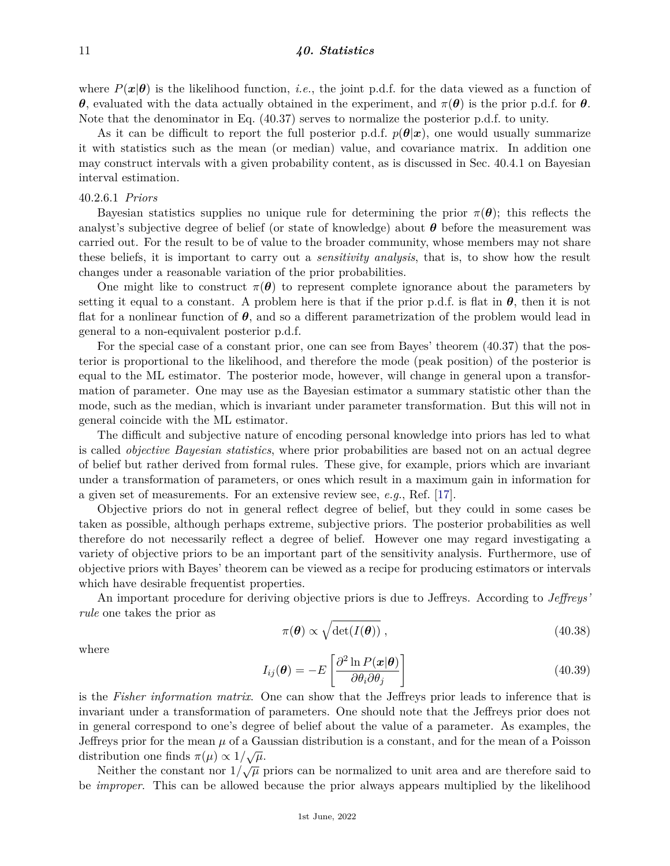where  $P(x|\theta)$  is the likelihood function, *i.e.*, the joint p.d.f. for the data viewed as a function of *θ*, evaluated with the data actually obtained in the experiment, and *π*(*θ*) is the prior p.d.f. for *θ*. Note that the denominator in Eq. (40.37) serves to normalize the posterior p.d.f. to unity.

As it can be difficult to report the full posterior p.d.f.  $p(\theta|\mathbf{x})$ , one would usually summarize it with statistics such as the mean (or median) value, and covariance matrix. In addition one may construct intervals with a given probability content, as is discussed in Sec. 40.4.1 on Bayesian interval estimation.

#### 40.2.6.1 *Priors*

Bayesian statistics supplies no unique rule for determining the prior  $\pi(\theta)$ ; this reflects the analyst's subjective degree of belief (or state of knowledge) about *θ* before the measurement was carried out. For the result to be of value to the broader community, whose members may not share these beliefs, it is important to carry out a *sensitivity analysis*, that is, to show how the result changes under a reasonable variation of the prior probabilities.

One might like to construct  $\pi(\theta)$  to represent complete ignorance about the parameters by setting it equal to a constant. A problem here is that if the prior p.d.f. is flat in  $\theta$ , then it is not flat for a nonlinear function of *θ*, and so a different parametrization of the problem would lead in general to a non-equivalent posterior p.d.f.

For the special case of a constant prior, one can see from Bayes' theorem (40.37) that the posterior is proportional to the likelihood, and therefore the mode (peak position) of the posterior is equal to the ML estimator. The posterior mode, however, will change in general upon a transformation of parameter. One may use as the Bayesian estimator a summary statistic other than the mode, such as the median, which is invariant under parameter transformation. But this will not in general coincide with the ML estimator.

The difficult and subjective nature of encoding personal knowledge into priors has led to what is called *objective Bayesian statistics*, where prior probabilities are based not on an actual degree of belief but rather derived from formal rules. These give, for example, priors which are invariant under a transformation of parameters, or ones which result in a maximum gain in information for a given set of measurements. For an extensive review see, *e.g.*, Ref. [\[17\]](#page-33-12).

Objective priors do not in general reflect degree of belief, but they could in some cases be taken as possible, although perhaps extreme, subjective priors. The posterior probabilities as well therefore do not necessarily reflect a degree of belief. However one may regard investigating a variety of objective priors to be an important part of the sensitivity analysis. Furthermore, use of objective priors with Bayes' theorem can be viewed as a recipe for producing estimators or intervals which have desirable frequentist properties.

An important procedure for deriving objective priors is due to Jeffreys. According to *Jeffreys' rule* one takes the prior as

$$
\pi(\boldsymbol{\theta}) \propto \sqrt{\det(I(\boldsymbol{\theta}))} \,, \tag{40.38}
$$

where

$$
I_{ij}(\boldsymbol{\theta}) = -E \left[ \frac{\partial^2 \ln P(\boldsymbol{x}|\boldsymbol{\theta})}{\partial \theta_i \partial \theta_j} \right]
$$
(40.39)

is the *Fisher information matrix*. One can show that the Jeffreys prior leads to inference that is invariant under a transformation of parameters. One should note that the Jeffreys prior does not in general correspond to one's degree of belief about the value of a parameter. As examples, the Jeffreys prior for the mean *µ* of a Gaussian distribution is a constant, and for the mean of a Poisson distribution one finds  $\pi(\mu) \propto 1/\sqrt{\mu}$ .

Neither the constant nor  $1/\sqrt{\mu}$  priors can be normalized to unit area and are therefore said to be *improper*. This can be allowed because the prior always appears multiplied by the likelihood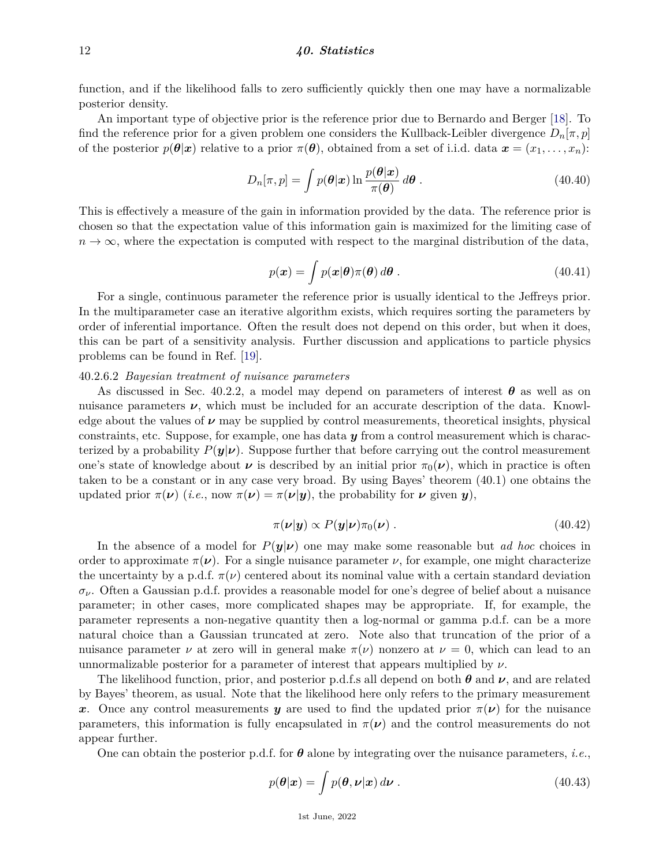function, and if the likelihood falls to zero sufficiently quickly then one may have a normalizable posterior density.

An important type of objective prior is the reference prior due to Bernardo and Berger [\[18\]](#page-33-13). To find the reference prior for a given problem one considers the Kullback-Leibler divergence  $D_n[\pi, p]$ of the posterior  $p(\theta|\mathbf{x})$  relative to a prior  $\pi(\theta)$ , obtained from a set of i.i.d. data  $\mathbf{x} = (x_1, \ldots, x_n)$ :

$$
D_n[\pi, p] = \int p(\boldsymbol{\theta}|\mathbf{x}) \ln \frac{p(\boldsymbol{\theta}|\mathbf{x})}{\pi(\boldsymbol{\theta})} d\boldsymbol{\theta}.
$$
 (40.40)

This is effectively a measure of the gain in information provided by the data. The reference prior is chosen so that the expectation value of this information gain is maximized for the limiting case of  $n \to \infty$ , where the expectation is computed with respect to the marginal distribution of the data,

$$
p(\boldsymbol{x}) = \int p(\boldsymbol{x}|\boldsymbol{\theta})\pi(\boldsymbol{\theta}) d\boldsymbol{\theta}.
$$
 (40.41)

For a single, continuous parameter the reference prior is usually identical to the Jeffreys prior. In the multiparameter case an iterative algorithm exists, which requires sorting the parameters by order of inferential importance. Often the result does not depend on this order, but when it does, this can be part of a sensitivity analysis. Further discussion and applications to particle physics problems can be found in Ref. [\[19\]](#page-34-0).

#### 40.2.6.2 *Bayesian treatment of nuisance parameters*

As discussed in Sec. 40.2.2, a model may depend on parameters of interest *θ* as well as on nuisance parameters  $\nu$ , which must be included for an accurate description of the data. Knowledge about the values of  $\nu$  may be supplied by control measurements, theoretical insights, physical constraints, etc. Suppose, for example, one has data *y* from a control measurement which is characterized by a probability  $P(y|\nu)$ . Suppose further that before carrying out the control measurement one's state of knowledge about  $\nu$  is described by an initial prior  $\pi_0(\nu)$ , which in practice is often taken to be a constant or in any case very broad. By using Bayes' theorem (40.1) one obtains the updated prior  $\pi(\nu)$  (*i.e.*, now  $\pi(\nu) = \pi(\nu|\mathbf{y})$ , the probability for  $\nu$  given  $\mathbf{y}$ ),

$$
\pi(\nu|\mathbf{y}) \propto P(\mathbf{y}|\nu)\pi_0(\nu) \ . \tag{40.42}
$$

In the absence of a model for  $P(y|\nu)$  one may make some reasonable but *ad hoc* choices in order to approximate  $\pi(\nu)$ . For a single nuisance parameter  $\nu$ , for example, one might characterize the uncertainty by a p.d.f.  $\pi(\nu)$  centered about its nominal value with a certain standard deviation *σν*. Often a Gaussian p.d.f. provides a reasonable model for one's degree of belief about a nuisance parameter; in other cases, more complicated shapes may be appropriate. If, for example, the parameter represents a non-negative quantity then a log-normal or gamma p.d.f. can be a more natural choice than a Gaussian truncated at zero. Note also that truncation of the prior of a nuisance parameter *ν* at zero will in general make  $\pi(\nu)$  nonzero at  $\nu = 0$ , which can lead to an unnormalizable posterior for a parameter of interest that appears multiplied by *ν*.

The likelihood function, prior, and posterior p.d.f.s all depend on both *θ* and *ν*, and are related by Bayes' theorem, as usual. Note that the likelihood here only refers to the primary measurement *x*. Once any control measurements *y* are used to find the updated prior  $\pi(\nu)$  for the nuisance parameters, this information is fully encapsulated in  $\pi(\nu)$  and the control measurements do not appear further.

One can obtain the posterior p.d.f. for *θ* alone by integrating over the nuisance parameters, *i.e.*,

$$
p(\theta|\mathbf{x}) = \int p(\theta, \nu|\mathbf{x}) d\nu.
$$
 (40.43)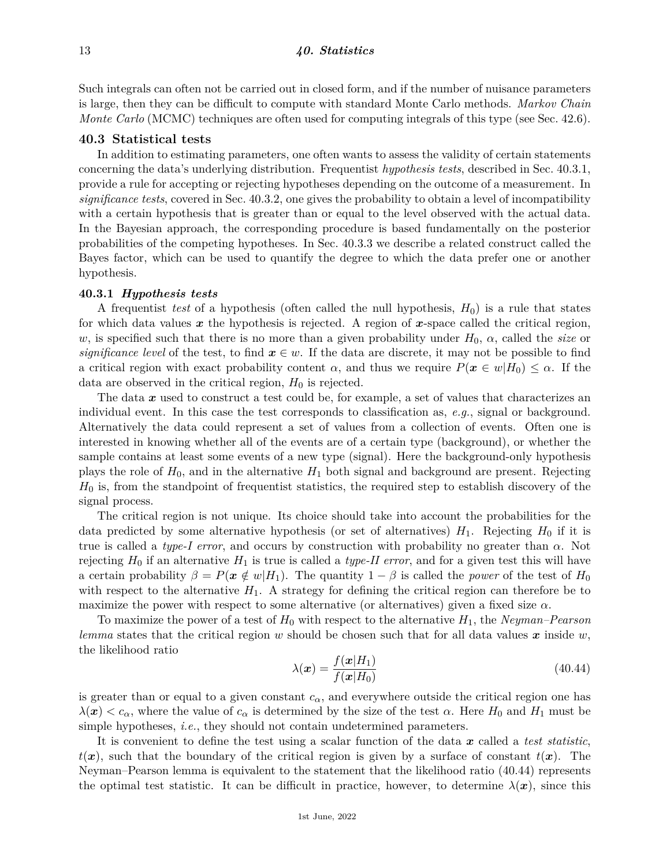Such integrals can often not be carried out in closed form, and if the number of nuisance parameters is large, then they can be difficult to compute with standard Monte Carlo methods. *Markov Chain Monte Carlo* (MCMC) techniques are often used for computing integrals of this type (see Sec. 42.6).

#### **40.3 Statistical tests**

In addition to estimating parameters, one often wants to assess the validity of certain statements concerning the data's underlying distribution. Frequentist *hypothesis tests*, described in Sec. 40.3.1, provide a rule for accepting or rejecting hypotheses depending on the outcome of a measurement. In *significance tests*, covered in Sec. 40.3.2, one gives the probability to obtain a level of incompatibility with a certain hypothesis that is greater than or equal to the level observed with the actual data. In the Bayesian approach, the corresponding procedure is based fundamentally on the posterior probabilities of the competing hypotheses. In Sec. 40.3.3 we describe a related construct called the Bayes factor, which can be used to quantify the degree to which the data prefer one or another hypothesis.

#### **40.3.1** *Hypothesis tests*

A frequentist *test* of a hypothesis (often called the null hypothesis, *H*0) is a rule that states for which data values *x* the hypothesis is rejected. A region of *x*-space called the critical region, *w*, is specified such that there is no more than a given probability under  $H_0$ ,  $\alpha$ , called the *size* or *significance level* of the test, to find  $x \in w$ . If the data are discrete, it may not be possible to find a critical region with exact probability content  $\alpha$ , and thus we require  $P(x \in w | H_0) \leq \alpha$ . If the data are observed in the critical region,  $H_0$  is rejected.

The data x used to construct a test could be, for example, a set of values that characterizes an individual event. In this case the test corresponds to classification as, *e.g.*, signal or background. Alternatively the data could represent a set of values from a collection of events. Often one is interested in knowing whether all of the events are of a certain type (background), or whether the sample contains at least some events of a new type (signal). Here the background-only hypothesis plays the role of  $H_0$ , and in the alternative  $H_1$  both signal and background are present. Rejecting *H*<sup>0</sup> is, from the standpoint of frequentist statistics, the required step to establish discovery of the signal process.

The critical region is not unique. Its choice should take into account the probabilities for the data predicted by some alternative hypothesis (or set of alternatives)  $H_1$ . Rejecting  $H_0$  if it is true is called a *type-I error*, and occurs by construction with probability no greater than *α*. Not rejecting  $H_0$  if an alternative  $H_1$  is true is called a *type-II error*, and for a given test this will have a certain probability  $\beta = P(x \notin w|H_1)$ . The quantity  $1 - \beta$  is called the *power* of the test of  $H_0$ with respect to the alternative  $H_1$ . A strategy for defining the critical region can therefore be to maximize the power with respect to some alternative (or alternatives) given a fixed size  $\alpha$ .

To maximize the power of a test of *H*<sup>0</sup> with respect to the alternative *H*1, the *Neyman–Pearson lemma* states that the critical region *w* should be chosen such that for all data values *x* inside *w*, the likelihood ratio

$$
\lambda(\boldsymbol{x}) = \frac{f(\boldsymbol{x}|H_1)}{f(\boldsymbol{x}|H_0)}\tag{40.44}
$$

is greater than or equal to a given constant  $c_{\alpha}$ , and everywhere outside the critical region one has  $\lambda(x) < c_{\alpha}$ , where the value of  $c_{\alpha}$  is determined by the size of the test  $\alpha$ . Here  $H_0$  and  $H_1$  must be simple hypotheses, *i.e.*, they should not contain undetermined parameters.

It is convenient to define the test using a scalar function of the data *x* called a *test statistic*,  $t(x)$ , such that the boundary of the critical region is given by a surface of constant  $t(x)$ . The Neyman–Pearson lemma is equivalent to the statement that the likelihood ratio (40.44) represents the optimal test statistic. It can be difficult in practice, however, to determine  $\lambda(x)$ , since this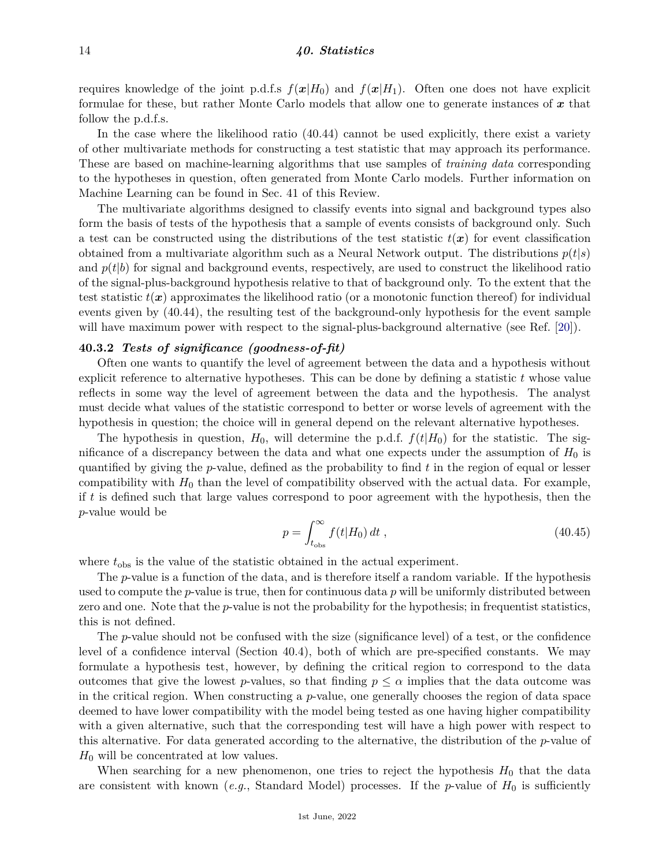requires knowledge of the joint p.d.f.s  $f(x|H_0)$  and  $f(x|H_1)$ . Often one does not have explicit formulae for these, but rather Monte Carlo models that allow one to generate instances of *x* that follow the p.d.f.s.

In the case where the likelihood ratio (40.44) cannot be used explicitly, there exist a variety of other multivariate methods for constructing a test statistic that may approach its performance. These are based on machine-learning algorithms that use samples of *training data* corresponding to the hypotheses in question, often generated from Monte Carlo models. Further information on Machine Learning can be found in Sec. 41 of this Review.

The multivariate algorithms designed to classify events into signal and background types also form the basis of tests of the hypothesis that a sample of events consists of background only. Such a test can be constructed using the distributions of the test statistic  $t(x)$  for event classification obtained from a multivariate algorithm such as a Neural Network output. The distributions  $p(t|s)$ and  $p(t|b)$  for signal and background events, respectively, are used to construct the likelihood ratio of the signal-plus-background hypothesis relative to that of background only. To the extent that the test statistic  $t(x)$  approximates the likelihood ratio (or a monotonic function thereof) for individual events given by (40.44), the resulting test of the background-only hypothesis for the event sample will have maximum power with respect to the signal-plus-background alternative (see Ref. [\[20\]](#page-34-1)).

#### **40.3.2** *Tests of significance (goodness-of-fit)*

Often one wants to quantify the level of agreement between the data and a hypothesis without explicit reference to alternative hypotheses. This can be done by defining a statistic *t* whose value reflects in some way the level of agreement between the data and the hypothesis. The analyst must decide what values of the statistic correspond to better or worse levels of agreement with the hypothesis in question; the choice will in general depend on the relevant alternative hypotheses.

The hypothesis in question,  $H_0$ , will determine the p.d.f.  $f(t|H_0)$  for the statistic. The significance of a discrepancy between the data and what one expects under the assumption of  $H_0$  is quantified by giving the *p*-value, defined as the probability to find *t* in the region of equal or lesser compatibility with  $H_0$  than the level of compatibility observed with the actual data. For example, if *t* is defined such that large values correspond to poor agreement with the hypothesis, then the *p*-value would be

$$
p = \int_{t_{\text{obs}}}^{\infty} f(t|H_0) dt , \qquad (40.45)
$$

where  $t_{obs}$  is the value of the statistic obtained in the actual experiment.

The *p*-value is a function of the data, and is therefore itself a random variable. If the hypothesis used to compute the *p*-value is true, then for continuous data *p* will be uniformly distributed between zero and one. Note that the *p*-value is not the probability for the hypothesis; in frequentist statistics, this is not defined.

The *p*-value should not be confused with the size (significance level) of a test, or the confidence level of a confidence interval (Section 40.4), both of which are pre-specified constants. We may formulate a hypothesis test, however, by defining the critical region to correspond to the data outcomes that give the lowest *p*-values, so that finding  $p \leq \alpha$  implies that the data outcome was in the critical region. When constructing a *p*-value, one generally chooses the region of data space deemed to have lower compatibility with the model being tested as one having higher compatibility with a given alternative, such that the corresponding test will have a high power with respect to this alternative. For data generated according to the alternative, the distribution of the *p*-value of  $H_0$  will be concentrated at low values.

When searching for a new phenomenon, one tries to reject the hypothesis  $H_0$  that the data are consistent with known (*e.g.*, Standard Model) processes. If the *p*-value of  $H_0$  is sufficiently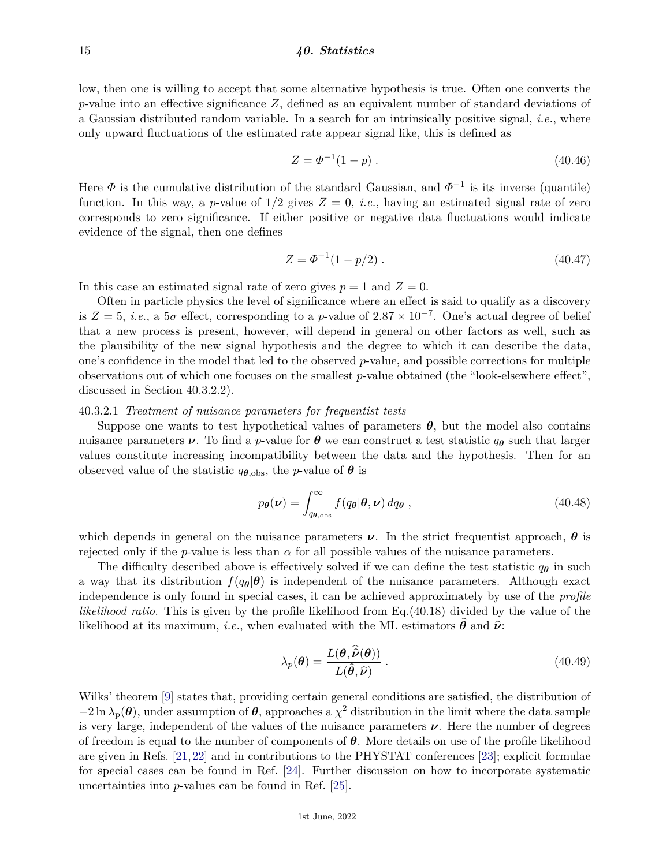low, then one is willing to accept that some alternative hypothesis is true. Often one converts the *p*-value into an effective significance *Z*, defined as an equivalent number of standard deviations of a Gaussian distributed random variable. In a search for an intrinsically positive signal, *i.e.*, where only upward fluctuations of the estimated rate appear signal like, this is defined as

$$
Z = \Phi^{-1}(1 - p) \tag{40.46}
$$

Here  $\Phi$  is the cumulative distribution of the standard Gaussian, and  $\Phi^{-1}$  is its inverse (quantile) function. In this way, a *p*-value of  $1/2$  gives  $Z = 0$ , *i.e.*, having an estimated signal rate of zero corresponds to zero significance. If either positive or negative data fluctuations would indicate evidence of the signal, then one defines

$$
Z = \Phi^{-1}(1 - p/2) \tag{40.47}
$$

In this case an estimated signal rate of zero gives  $p = 1$  and  $Z = 0$ .

Often in particle physics the level of significance where an effect is said to qualify as a discovery is  $Z = 5$ , *i.e.*, a 5*σ* effect, corresponding to a *p*-value of 2.87 × 10<sup>-7</sup>. One's actual degree of belief that a new process is present, however, will depend in general on other factors as well, such as the plausibility of the new signal hypothesis and the degree to which it can describe the data, one's confidence in the model that led to the observed *p*-value, and possible corrections for multiple observations out of which one focuses on the smallest *p*-value obtained (the "look-elsewhere effect", discussed in Section 40.3.2.2).

#### 40.3.2.1 *Treatment of nuisance parameters for frequentist tests*

Suppose one wants to test hypothetical values of parameters  $\theta$ , but the model also contains nuisance parameters  $\nu$ . To find a *p*-value for  $\theta$  we can construct a test statistic  $q_{\theta}$  such that larger values constitute increasing incompatibility between the data and the hypothesis. Then for an observed value of the statistic  $q_{\theta,obs}$ , the *p*-value of  $\theta$  is

$$
p_{\theta}(\nu) = \int_{q_{\theta,\text{obs}}}^{\infty} f(q_{\theta}|\theta,\nu) \, dq_{\theta} \,, \tag{40.48}
$$

which depends in general on the nuisance parameters  $\nu$ . In the strict frequentist approach,  $\theta$  is rejected only if the *p*-value is less than  $\alpha$  for all possible values of the nuisance parameters.

The difficulty described above is effectively solved if we can define the test statistic  $q_{\theta}$  in such a way that its distribution  $f(q_{\theta}|\theta)$  is independent of the nuisance parameters. Although exact independence is only found in special cases, it can be achieved approximately by use of the *profile likelihood ratio*. This is given by the profile likelihood from Eq.(40.18) divided by the value of the likelihood at its maximum, *i.e.*, when evaluated with the ML estimators  $\theta$  and  $\hat{\nu}$ :

$$
\lambda_p(\boldsymbol{\theta}) = \frac{L(\boldsymbol{\theta}, \hat{\boldsymbol{\nu}}(\boldsymbol{\theta}))}{L(\hat{\boldsymbol{\theta}}, \hat{\boldsymbol{\nu}})}.
$$
\n(40.49)

Wilks' theorem [\[9\]](#page-33-7) states that, providing certain general conditions are satisfied, the distribution of  $-2 \ln \lambda_p(\theta)$ , under assumption of  $\theta$ , approaches a  $\chi^2$  distribution in the limit where the data sample is very large, independent of the values of the nuisance parameters *ν*. Here the number of degrees of freedom is equal to the number of components of *θ*. More details on use of the profile likelihood are given in Refs. [\[21,](#page-34-2)[22\]](#page-34-3) and in contributions to the PHYSTAT conferences [\[23\]](#page-34-4); explicit formulae for special cases can be found in Ref. [\[24\]](#page-34-5). Further discussion on how to incorporate systematic uncertainties into *p*-values can be found in Ref. [\[25\]](#page-34-6).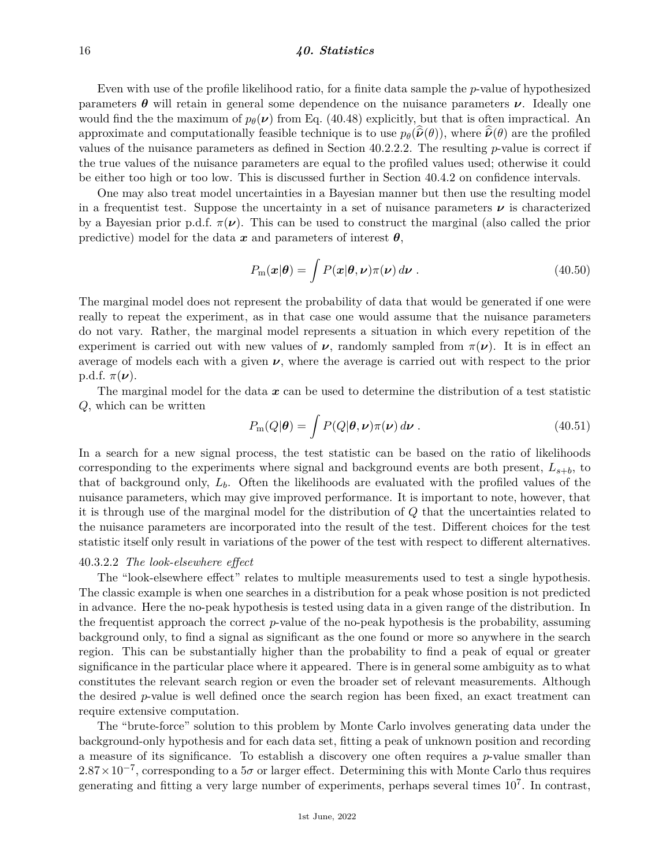Even with use of the profile likelihood ratio, for a finite data sample the *p*-value of hypothesized parameters  $\theta$  will retain in general some dependence on the nuisance parameters  $\nu$ . Ideally one would find the the maximum of  $p_{\theta}(\nu)$  from Eq. (40.48) explicitly, but that is often impractical. An approximate and computationally feasible technique is to use  $p_{\theta}(\hat{\nu}(\theta))$ , where  $\hat{\nu}(\theta)$  are the profiled values of the nuisance parameters as defined in Section 40.2.2.2. The resulting *p*-value is correct if the true values of the nuisance parameters are equal to the profiled values used; otherwise it could be either too high or too low. This is discussed further in Section 40.4.2 on confidence intervals.

One may also treat model uncertainties in a Bayesian manner but then use the resulting model in a frequentist test. Suppose the uncertainty in a set of nuisance parameters  $\nu$  is characterized by a Bayesian prior p.d.f.  $\pi(\nu)$ . This can be used to construct the marginal (also called the prior predictive) model for the data  $x$  and parameters of interest  $\theta$ ,

$$
P_{\rm m}(\boldsymbol{x}|\boldsymbol{\theta}) = \int P(\boldsymbol{x}|\boldsymbol{\theta},\boldsymbol{\nu})\pi(\boldsymbol{\nu}) d\boldsymbol{\nu} . \qquad (40.50)
$$

The marginal model does not represent the probability of data that would be generated if one were really to repeat the experiment, as in that case one would assume that the nuisance parameters do not vary. Rather, the marginal model represents a situation in which every repetition of the experiment is carried out with new values of  $\nu$ , randomly sampled from  $\pi(\nu)$ . It is in effect an average of models each with a given  $\nu$ , where the average is carried out with respect to the prior p.d.f.  $\pi(\nu)$ .

The marginal model for the data *x* can be used to determine the distribution of a test statistic *Q*, which can be written

$$
P_{\rm m}(Q|\boldsymbol{\theta}) = \int P(Q|\boldsymbol{\theta}, \boldsymbol{\nu}) \pi(\boldsymbol{\nu}) d\boldsymbol{\nu} . \qquad (40.51)
$$

In a search for a new signal process, the test statistic can be based on the ratio of likelihoods corresponding to the experiments where signal and background events are both present,  $L_{s+b}$ , to that of background only,  $L_b$ . Often the likelihoods are evaluated with the profiled values of the nuisance parameters, which may give improved performance. It is important to note, however, that it is through use of the marginal model for the distribution of *Q* that the uncertainties related to the nuisance parameters are incorporated into the result of the test. Different choices for the test statistic itself only result in variations of the power of the test with respect to different alternatives.

#### 40.3.2.2 *The look-elsewhere effect*

The "look-elsewhere effect" relates to multiple measurements used to test a single hypothesis. The classic example is when one searches in a distribution for a peak whose position is not predicted in advance. Here the no-peak hypothesis is tested using data in a given range of the distribution. In the frequentist approach the correct *p*-value of the no-peak hypothesis is the probability, assuming background only, to find a signal as significant as the one found or more so anywhere in the search region. This can be substantially higher than the probability to find a peak of equal or greater significance in the particular place where it appeared. There is in general some ambiguity as to what constitutes the relevant search region or even the broader set of relevant measurements. Although the desired *p*-value is well defined once the search region has been fixed, an exact treatment can require extensive computation.

The "brute-force" solution to this problem by Monte Carlo involves generating data under the background-only hypothesis and for each data set, fitting a peak of unknown position and recording a measure of its significance. To establish a discovery one often requires a *p*-value smaller than  $2.87 \times 10^{-7}$ , corresponding to a 5 $\sigma$  or larger effect. Determining this with Monte Carlo thus requires generating and fitting a very large number of experiments, perhaps several times  $10<sup>7</sup>$ . In contrast,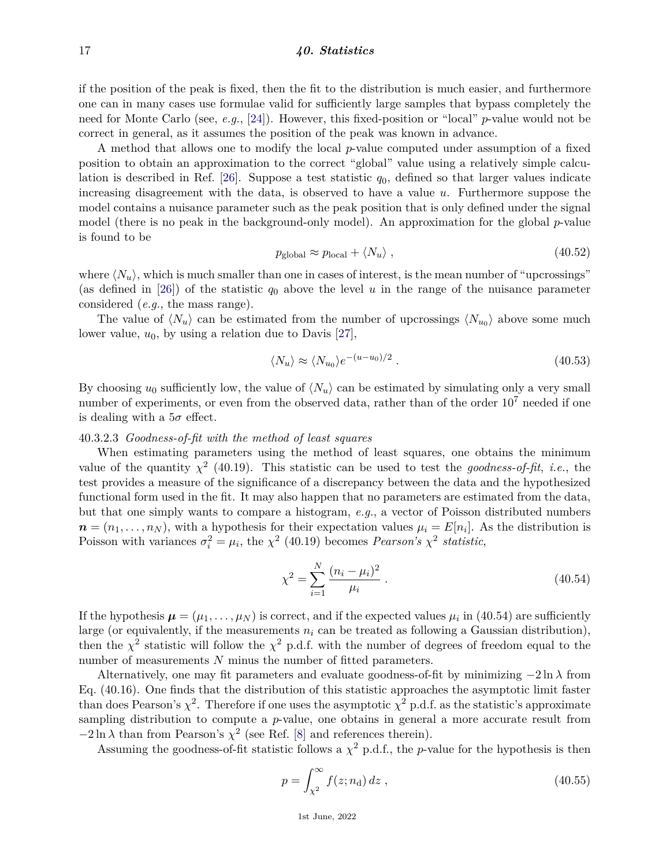if the position of the peak is fixed, then the fit to the distribution is much easier, and furthermore one can in many cases use formulae valid for sufficiently large samples that bypass completely the need for Monte Carlo (see, *e.g.*, [\[24\]](#page-34-5)). However, this fixed-position or "local" *p*-value would not be correct in general, as it assumes the position of the peak was known in advance.

A method that allows one to modify the local *p*-value computed under assumption of a fixed position to obtain an approximation to the correct "global" value using a relatively simple calcu-lation is described in Ref. [\[26\]](#page-34-7). Suppose a test statistic  $q_0$ , defined so that larger values indicate increasing disagreement with the data, is observed to have a value *u*. Furthermore suppose the model contains a nuisance parameter such as the peak position that is only defined under the signal model (there is no peak in the background-only model). An approximation for the global *p*-value is found to be

$$
p_{\text{global}} \approx p_{\text{local}} + \langle N_u \rangle \,, \tag{40.52}
$$

where  $\langle N_u \rangle$ , which is much smaller than one in cases of interest, is the mean number of "upcrossings" (as defined in [\[26\]](#page-34-7)) of the statistic  $q_0$  above the level  $u$  in the range of the nuisance parameter considered (*e.g.*, the mass range).

The value of  $\langle N_u \rangle$  can be estimated from the number of upcrossings  $\langle N_{u_0} \rangle$  above some much lower value,  $u_0$ , by using a relation due to Davis [\[27\]](#page-34-8),

$$
\langle N_u \rangle \approx \langle N_{u_0} \rangle e^{-(u - u_0)/2} \tag{40.53}
$$

By choosing  $u_0$  sufficiently low, the value of  $\langle N_u \rangle$  can be estimated by simulating only a very small number of experiments, or even from the observed data, rather than of the order  $10^7$  needed if one is dealing with a  $5\sigma$  effect.

#### 40.3.2.3 *Goodness-of-fit with the method of least squares*

When estimating parameters using the method of least squares, one obtains the minimum value of the quantity  $\chi^2$  (40.19). This statistic can be used to test the *goodness-of-fit*, *i.e.*, the test provides a measure of the significance of a discrepancy between the data and the hypothesized functional form used in the fit. It may also happen that no parameters are estimated from the data, but that one simply wants to compare a histogram, *e.g.*, a vector of Poisson distributed numbers  $\boldsymbol{n} = (n_1, \ldots, n_N)$ , with a hypothesis for their expectation values  $\mu_i = E[n_i]$ . As the distribution is Poisson with variances  $\sigma_i^2 = \mu_i$ , the  $\chi^2$  (40.19) becomes *Pearson's*  $\chi^2$  *statistic*,

$$
\chi^2 = \sum_{i=1}^{N} \frac{(n_i - \mu_i)^2}{\mu_i} \,. \tag{40.54}
$$

If the hypothesis  $\mu = (\mu_1, \dots, \mu_N)$  is correct, and if the expected values  $\mu_i$  in (40.54) are sufficiently large (or equivalently, if the measurements  $n_i$  can be treated as following a Gaussian distribution), then the  $\chi^2$  statistic will follow the  $\chi^2$  p.d.f. with the number of degrees of freedom equal to the number of measurements N minus the number of fitted parameters.

Alternatively, one may fit parameters and evaluate goodness-of-fit by minimizing −2 ln *λ* from Eq. (40.16). One finds that the distribution of this statistic approaches the asymptotic limit faster than does Pearson's  $\chi^2$ . Therefore if one uses the asymptotic  $\chi^2$  p.d.f. as the statistic's approximate sampling distribution to compute a *p*-value, one obtains in general a more accurate result from  $-2 \ln \lambda$  than from Pearson's  $\chi^2$  (see Ref. [\[8\]](#page-33-6) and references therein).

Assuming the goodness-of-fit statistic follows a  $\chi^2$  p.d.f., the *p*-value for the hypothesis is then

$$
p = \int_{\chi^2}^{\infty} f(z; n_{\rm d}) dz , \qquad (40.55)
$$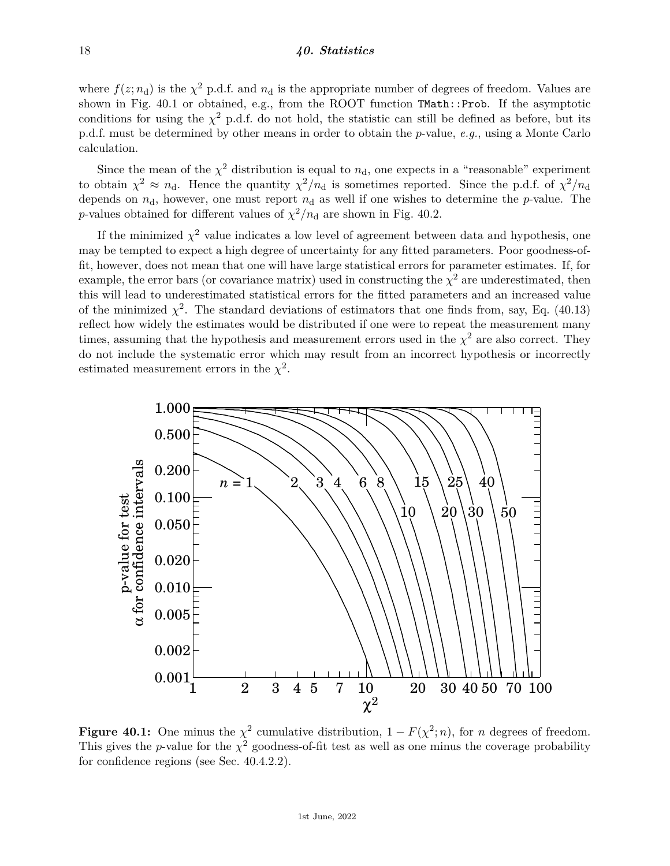where  $f(z; n_d)$  is the  $\chi^2$  p.d.f. and  $n_d$  is the appropriate number of degrees of freedom. Values are shown in Fig. 40.1 or obtained, e.g., from the ROOT function TMath::Prob. If the asymptotic conditions for using the  $\chi^2$  p.d.f. do not hold, the statistic can still be defined as before, but its p.d.f. must be determined by other means in order to obtain the *p*-value, *e.g.*, using a Monte Carlo calculation.

Since the mean of the  $\chi^2$  distribution is equal to  $n_d$ , one expects in a "reasonable" experiment to obtain  $\chi^2 \approx n_d$ . Hence the quantity  $\chi^2/n_d$  is sometimes reported. Since the p.d.f. of  $\chi^2/n_d$ depends on  $n_d$ , however, one must report  $n_d$  as well if one wishes to determine the *p*-value. The *p*-values obtained for different values of  $\chi^2/n_d$  are shown in Fig. 40.2.

If the minimized  $\chi^2$  value indicates a low level of agreement between data and hypothesis, one may be tempted to expect a high degree of uncertainty for any fitted parameters. Poor goodness-offit, however, does not mean that one will have large statistical errors for parameter estimates. If, for example, the error bars (or covariance matrix) used in constructing the  $\chi^2$  are underestimated, then this will lead to underestimated statistical errors for the fitted parameters and an increased value of the minimized  $\chi^2$ . The standard deviations of estimators that one finds from, say, Eq. (40.13) reflect how widely the estimates would be distributed if one were to repeat the measurement many times, assuming that the hypothesis and measurement errors used in the  $\chi^2$  are also correct. They do not include the systematic error which may result from an incorrect hypothesis or incorrectly estimated measurement errors in the  $\chi^2$ .



**Figure 40.1:** One minus the  $\chi^2$  cumulative distribution,  $1 - F(\chi^2; n)$ , for *n* degrees of freedom. This gives the *p*-value for the  $\chi^2$  goodness-of-fit test as well as one minus the coverage probability for confidence regions (see Sec. 40.4.2.2).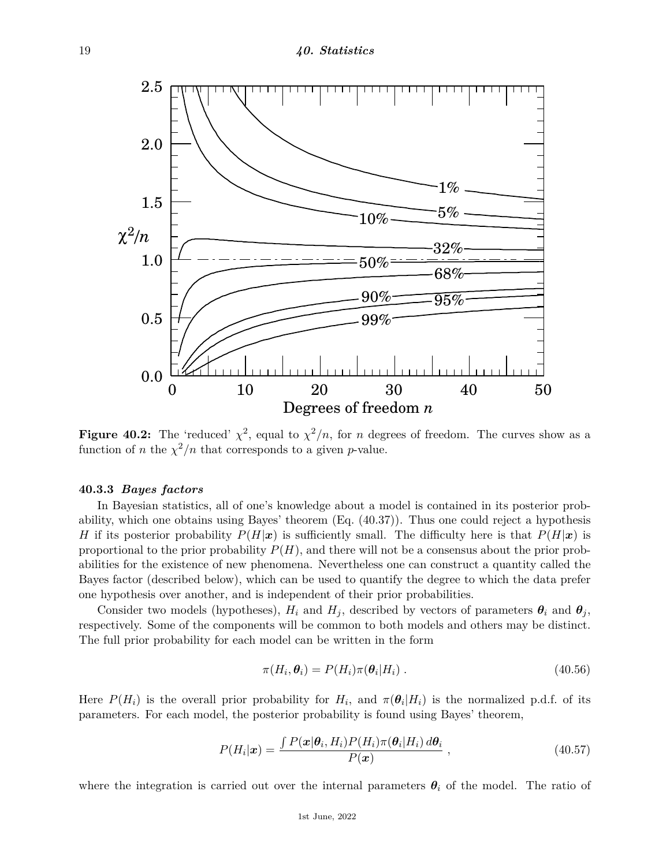

**Figure 40.2:** The 'reduced'  $\chi^2$ , equal to  $\chi^2/n$ , for *n* degrees of freedom. The curves show as a function of *n* the  $\chi^2/n$  that corresponds to a given *p*-value.

#### **40.3.3** *Bayes factors*

In Bayesian statistics, all of one's knowledge about a model is contained in its posterior probability, which one obtains using Bayes' theorem (Eq. (40.37)). Thus one could reject a hypothesis *H* if its posterior probability  $P(H|\mathbf{x})$  is sufficiently small. The difficulty here is that  $P(H|\mathbf{x})$  is proportional to the prior probability  $P(H)$ , and there will not be a consensus about the prior probabilities for the existence of new phenomena. Nevertheless one can construct a quantity called the Bayes factor (described below), which can be used to quantify the degree to which the data prefer one hypothesis over another, and is independent of their prior probabilities.

Consider two models (hypotheses),  $H_i$  and  $H_j$ , described by vectors of parameters  $\theta_i$  and  $\theta_j$ , respectively. Some of the components will be common to both models and others may be distinct. The full prior probability for each model can be written in the form

$$
\pi(H_i, \theta_i) = P(H_i)\pi(\theta_i|H_i) \tag{40.56}
$$

Here  $P(H_i)$  is the overall prior probability for  $H_i$ , and  $\pi(\theta_i|H_i)$  is the normalized p.d.f. of its parameters. For each model, the posterior probability is found using Bayes' theorem,

$$
P(H_i|\boldsymbol{x}) = \frac{\int P(\boldsymbol{x}|\boldsymbol{\theta}_i, H_i) P(H_i) \pi(\boldsymbol{\theta}_i|H_i) d\boldsymbol{\theta}_i}{P(\boldsymbol{x})},
$$
\n(40.57)

where the integration is carried out over the internal parameters  $\theta_i$  of the model. The ratio of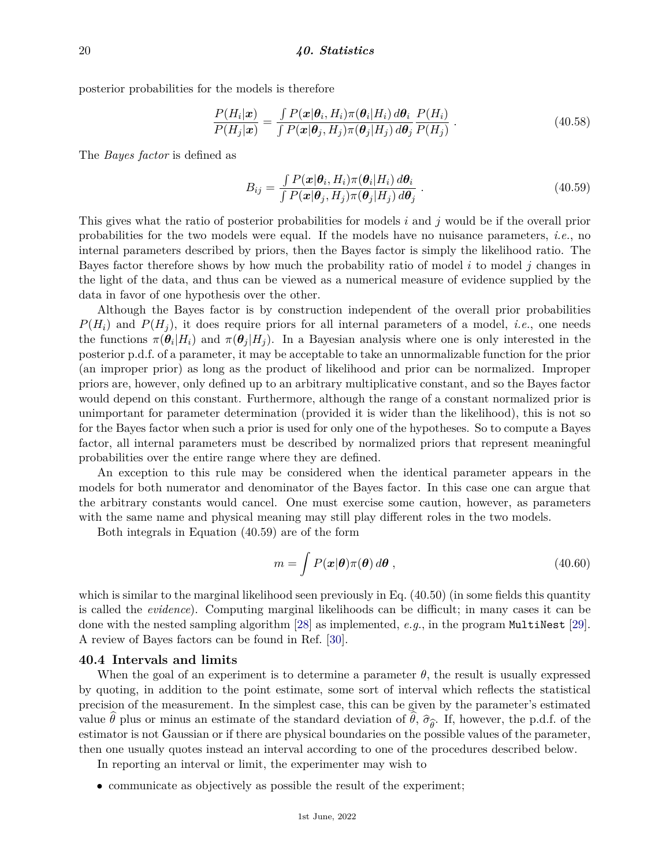posterior probabilities for the models is therefore

$$
\frac{P(H_i|\boldsymbol{x})}{P(H_j|\boldsymbol{x})} = \frac{\int P(\boldsymbol{x}|\boldsymbol{\theta}_i, H_i)\pi(\boldsymbol{\theta}_i|H_i)\,d\boldsymbol{\theta}_i}{\int P(\boldsymbol{x}|\boldsymbol{\theta}_j, H_j)\pi(\boldsymbol{\theta}_j|H_j)\,d\boldsymbol{\theta}_j}\frac{P(H_i)}{P(H_j)}\,.
$$
\n(40.58)

The *Bayes factor* is defined as

$$
B_{ij} = \frac{\int P(\mathbf{x}|\boldsymbol{\theta}_i, H_i)\pi(\boldsymbol{\theta}_i|H_i)\,d\boldsymbol{\theta}_i}{\int P(\mathbf{x}|\boldsymbol{\theta}_j, H_j)\pi(\boldsymbol{\theta}_j|H_j)\,d\boldsymbol{\theta}_j} \,. \tag{40.59}
$$

This gives what the ratio of posterior probabilities for models *i* and *j* would be if the overall prior probabilities for the two models were equal. If the models have no nuisance parameters, *i.e.*, no internal parameters described by priors, then the Bayes factor is simply the likelihood ratio. The Bayes factor therefore shows by how much the probability ratio of model *i* to model *j* changes in the light of the data, and thus can be viewed as a numerical measure of evidence supplied by the data in favor of one hypothesis over the other.

Although the Bayes factor is by construction independent of the overall prior probabilities  $P(H_i)$  and  $P(H_j)$ , it does require priors for all internal parameters of a model, *i.e.*, one needs the functions  $\pi(\theta_i|H_i)$  and  $\pi(\theta_j|H_j)$ . In a Bayesian analysis where one is only interested in the posterior p.d.f. of a parameter, it may be acceptable to take an unnormalizable function for the prior (an improper prior) as long as the product of likelihood and prior can be normalized. Improper priors are, however, only defined up to an arbitrary multiplicative constant, and so the Bayes factor would depend on this constant. Furthermore, although the range of a constant normalized prior is unimportant for parameter determination (provided it is wider than the likelihood), this is not so for the Bayes factor when such a prior is used for only one of the hypotheses. So to compute a Bayes factor, all internal parameters must be described by normalized priors that represent meaningful probabilities over the entire range where they are defined.

An exception to this rule may be considered when the identical parameter appears in the models for both numerator and denominator of the Bayes factor. In this case one can argue that the arbitrary constants would cancel. One must exercise some caution, however, as parameters with the same name and physical meaning may still play different roles in the two models.

Both integrals in Equation (40.59) are of the form

$$
m = \int P(\mathbf{x}|\boldsymbol{\theta})\pi(\boldsymbol{\theta})\,d\boldsymbol{\theta},\qquad(40.60)
$$

which is similar to the marginal likelihood seen previously in Eq.  $(40.50)$  (in some fields this quantity is called the *evidence*). Computing marginal likelihoods can be difficult; in many cases it can be done with the nested sampling algorithm [\[28\]](#page-34-9) as implemented, *e.g.*, in the program MultiNest [\[29\]](#page-34-10). A review of Bayes factors can be found in Ref. [\[30\]](#page-34-11).

#### **40.4 Intervals and limits**

When the goal of an experiment is to determine a parameter  $\theta$ , the result is usually expressed by quoting, in addition to the point estimate, some sort of interval which reflects the statistical precision of the measurement. In the simplest case, this can be given by the parameter's estimated value  $\theta$  plus or minus an estimate of the standard deviation of  $\theta$ ,  $\hat{\sigma}_{\hat{\theta}}$ . If, however, the p.d.f. of the  $\theta$  bestimator is not Gaussian or if there are physical boundaries on the possible values of the parameter, then one usually quotes instead an interval according to one of the procedures described below.

In reporting an interval or limit, the experimenter may wish to

• communicate as objectively as possible the result of the experiment;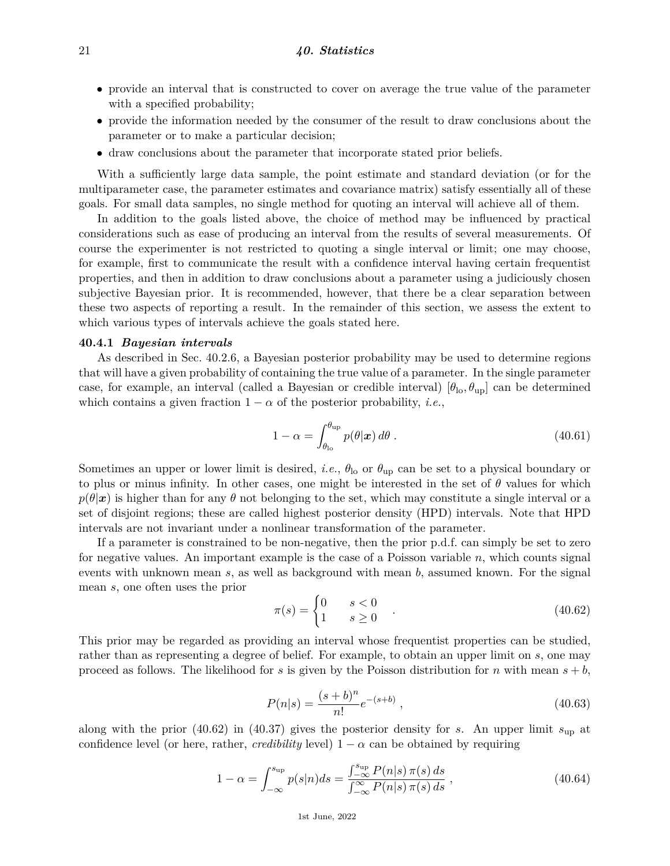- provide an interval that is constructed to cover on average the true value of the parameter with a specified probability;
- provide the information needed by the consumer of the result to draw conclusions about the parameter or to make a particular decision;
- draw conclusions about the parameter that incorporate stated prior beliefs.

With a sufficiently large data sample, the point estimate and standard deviation (or for the multiparameter case, the parameter estimates and covariance matrix) satisfy essentially all of these goals. For small data samples, no single method for quoting an interval will achieve all of them.

In addition to the goals listed above, the choice of method may be influenced by practical considerations such as ease of producing an interval from the results of several measurements. Of course the experimenter is not restricted to quoting a single interval or limit; one may choose, for example, first to communicate the result with a confidence interval having certain frequentist properties, and then in addition to draw conclusions about a parameter using a judiciously chosen subjective Bayesian prior. It is recommended, however, that there be a clear separation between these two aspects of reporting a result. In the remainder of this section, we assess the extent to which various types of intervals achieve the goals stated here.

#### **40.4.1** *Bayesian intervals*

As described in Sec. 40.2.6, a Bayesian posterior probability may be used to determine regions that will have a given probability of containing the true value of a parameter. In the single parameter case, for example, an interval (called a Bayesian or credible interval) [*θ*lo*, θ*up] can be determined which contains a given fraction  $1 - \alpha$  of the posterior probability, *i.e.*,

$$
1 - \alpha = \int_{\theta_{\rm lo}}^{\theta_{\rm up}} p(\theta | \mathbf{x}) \, d\theta \,. \tag{40.61}
$$

Sometimes an upper or lower limit is desired, *i.e.*,  $\theta_{\text{lo}}$  or  $\theta_{\text{up}}$  can be set to a physical boundary or to plus or minus infinity. In other cases, one might be interested in the set of *θ* values for which  $p(\theta|\mathbf{x})$  is higher than for any  $\theta$  not belonging to the set, which may constitute a single interval or a set of disjoint regions; these are called highest posterior density (HPD) intervals. Note that HPD intervals are not invariant under a nonlinear transformation of the parameter.

If a parameter is constrained to be non-negative, then the prior p.d.f. can simply be set to zero for negative values. An important example is the case of a Poisson variable *n*, which counts signal events with unknown mean *s*, as well as background with mean *b*, assumed known. For the signal mean *s*, one often uses the prior

$$
\pi(s) = \begin{cases} 0 & s < 0 \\ 1 & s \ge 0 \end{cases} \tag{40.62}
$$

This prior may be regarded as providing an interval whose frequentist properties can be studied, rather than as representing a degree of belief. For example, to obtain an upper limit on *s*, one may proceed as follows. The likelihood for *s* is given by the Poisson distribution for *n* with mean  $s + b$ ,

$$
P(n|s) = \frac{(s+b)^n}{n!}e^{-(s+b)},
$$
\n(40.63)

along with the prior (40.62) in (40.37) gives the posterior density for *s*. An upper limit *s*up at confidence level (or here, rather, *credibility* level)  $1 - \alpha$  can be obtained by requiring

$$
1 - \alpha = \int_{-\infty}^{s_{\text{up}}} p(s|n)ds = \frac{\int_{-\infty}^{s_{\text{up}}} P(n|s) \,\pi(s) \,ds}{\int_{-\infty}^{\infty} P(n|s) \,\pi(s) \,ds},\tag{40.64}
$$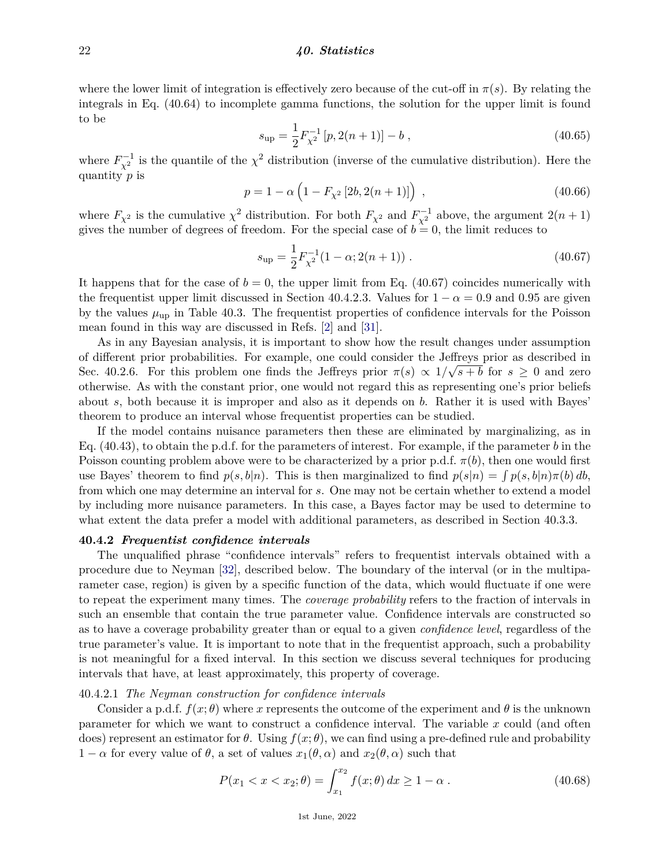where the lower limit of integration is effectively zero because of the cut-off in  $\pi(s)$ . By relating the integrals in Eq. (40.64) to incomplete gamma functions, the solution for the upper limit is found to be

$$
s_{\rm up} = \frac{1}{2} F_{\chi^2}^{-1} \left[ p, 2(n+1) \right] - b \,, \tag{40.65}
$$

where  $F_{\chi^2}^{-1}$  is the quantile of the  $\chi^2$  distribution (inverse of the cumulative distribution). Here the quantity *p* is

$$
p = 1 - \alpha \left( 1 - F_{\chi^2} \left[ 2b, 2(n+1) \right] \right) , \qquad (40.66)
$$

where  $F_{\chi^2}$  is the cumulative  $\chi^2$  distribution. For both  $F_{\chi^2}$  and  $F_{\chi^2}^{-1}$  above, the argument  $2(n+1)$ gives the number of degrees of freedom. For the special case of  $b = 0$ , the limit reduces to

$$
s_{\rm up} = \frac{1}{2} F_{\chi^2}^{-1} (1 - \alpha; 2(n+1)) \,. \tag{40.67}
$$

It happens that for the case of  $b = 0$ , the upper limit from Eq. (40.67) coincides numerically with the frequentist upper limit discussed in Section 40.4.2.3. Values for  $1 - \alpha = 0.9$  and 0.95 are given by the values  $\mu_{\text{up}}$  in Table 40.3. The frequentist properties of confidence intervals for the Poisson mean found in this way are discussed in Refs. [\[2\]](#page-33-1) and [\[31\]](#page-34-12).

As in any Bayesian analysis, it is important to show how the result changes under assumption of different prior probabilities. For example, one could consider the Jeffreys prior as described in Sec. 40.2.6. For this problem one finds the Jeffreys prior  $\pi(s) \propto 1/\sqrt{s} + b$  for  $s \geq 0$  and zero otherwise. As with the constant prior, one would not regard this as representing one's prior beliefs about *s*, both because it is improper and also as it depends on *b*. Rather it is used with Bayes' theorem to produce an interval whose frequentist properties can be studied.

If the model contains nuisance parameters then these are eliminated by marginalizing, as in Eq. (40.43), to obtain the p.d.f. for the parameters of interest. For example, if the parameter *b* in the Poisson counting problem above were to be characterized by a prior p.d.f. *π*(*b*), then one would first use Bayes' theorem to find  $p(s, b|n)$ . This is then marginalized to find  $p(s|n) = \int p(s, b|n)\pi(b) db$ , from which one may determine an interval for *s*. One may not be certain whether to extend a model by including more nuisance parameters. In this case, a Bayes factor may be used to determine to what extent the data prefer a model with additional parameters, as described in Section 40.3.3.

## **40.4.2** *Frequentist confidence intervals*

The unqualified phrase "confidence intervals" refers to frequentist intervals obtained with a procedure due to Neyman [\[32\]](#page-34-13), described below. The boundary of the interval (or in the multiparameter case, region) is given by a specific function of the data, which would fluctuate if one were to repeat the experiment many times. The *coverage probability* refers to the fraction of intervals in such an ensemble that contain the true parameter value. Confidence intervals are constructed so as to have a coverage probability greater than or equal to a given *confidence level*, regardless of the true parameter's value. It is important to note that in the frequentist approach, such a probability is not meaningful for a fixed interval. In this section we discuss several techniques for producing intervals that have, at least approximately, this property of coverage.

#### 40.4.2.1 *The Neyman construction for confidence intervals*

Consider a p.d.f.  $f(x; \theta)$  where x represents the outcome of the experiment and  $\theta$  is the unknown parameter for which we want to construct a confidence interval. The variable *x* could (and often does) represent an estimator for  $\theta$ . Using  $f(x; \theta)$ , we can find using a pre-defined rule and probability 1 − *α* for every value of  $\theta$ , a set of values  $x_1(\theta, \alpha)$  and  $x_2(\theta, \alpha)$  such that

$$
P(x_1 < x < x_2; \theta) = \int_{x_1}^{x_2} f(x; \theta) \, dx \ge 1 - \alpha \,. \tag{40.68}
$$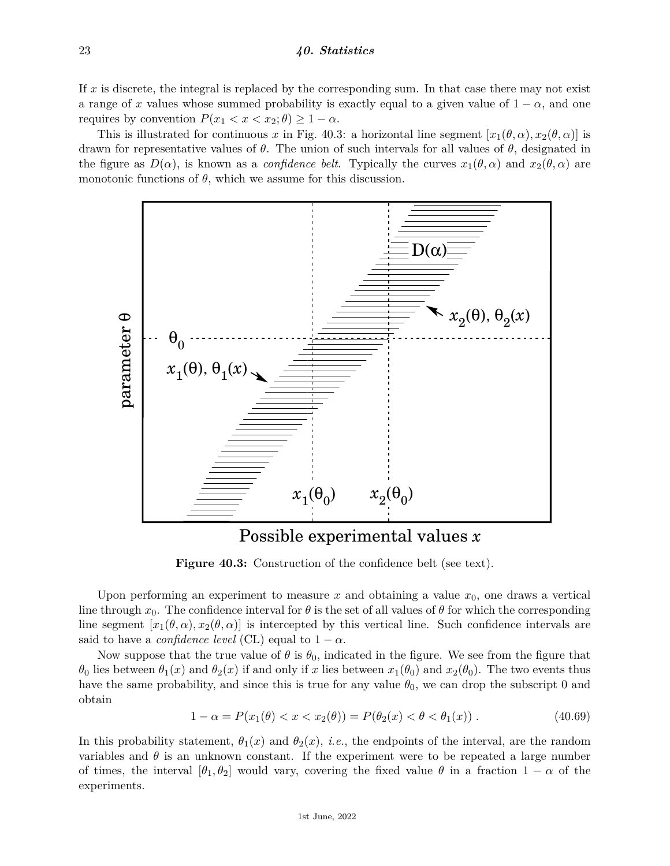If x is discrete, the integral is replaced by the corresponding sum. In that case there may not exist a range of x values whose summed probability is exactly equal to a given value of  $1 - \alpha$ , and one requires by convention  $P(x_1 < x < x_2; \theta) \geq 1 - \alpha$ .

This is illustrated for continuous *x* in Fig. 40.3: a horizontal line segment  $[x_1(\theta, \alpha), x_2(\theta, \alpha)]$  is drawn for representative values of *θ*. The union of such intervals for all values of *θ*, designated in the figure as  $D(\alpha)$ , is known as a *confidence belt*. Typically the curves  $x_1(\theta, \alpha)$  and  $x_2(\theta, \alpha)$  are monotonic functions of  $\theta$ , which we assume for this discussion.



# Possible experimental values *x*

**Figure 40.3:** Construction of the confidence belt (see text).

line segment  $[x_1(\theta, \alpha), x_2(\theta, \alpha)]$  is intercepted by this vertical line. Such confidence intervals are Upon performing an experiment to measure  $x$  and obtaining a value  $x_0$ , one draws a vertical line through  $x_0$ . The confidence interval for  $\theta$  is the set of all values of  $\theta$  for which the corresponding said to have a *confidence level* (CL) equal to  $1 - \alpha$ .

Now suppose that the true value of  $\theta$  is  $\theta_0$ , indicated in the figure. We see from the figure that *θ*<sub>0</sub> lies between  $\theta_1(x)$  and  $\theta_2(x)$  if and only if *x* lies between  $x_1(\theta_0)$  and  $x_2(\theta_0)$ . The two events thus have the same probability, and since this is true for any value  $\theta_0$ , we can drop the subscript 0 and obtain

$$
1 - \alpha = P(x_1(\theta) < x < x_2(\theta)) = P(\theta_2(x) < \theta < \theta_1(x)) \tag{40.69}
$$

In this probability statement,  $\theta_1(x)$  and  $\theta_2(x)$ , *i.e.*, the endpoints of the interval, are the random variables and  $\theta$  is an unknown constant. If the experiment were to be repeated a large number of times, the interval  $[\theta_1, \theta_2]$  would vary, covering the fixed value  $\theta$  in a fraction  $1 - \alpha$  of the experiments.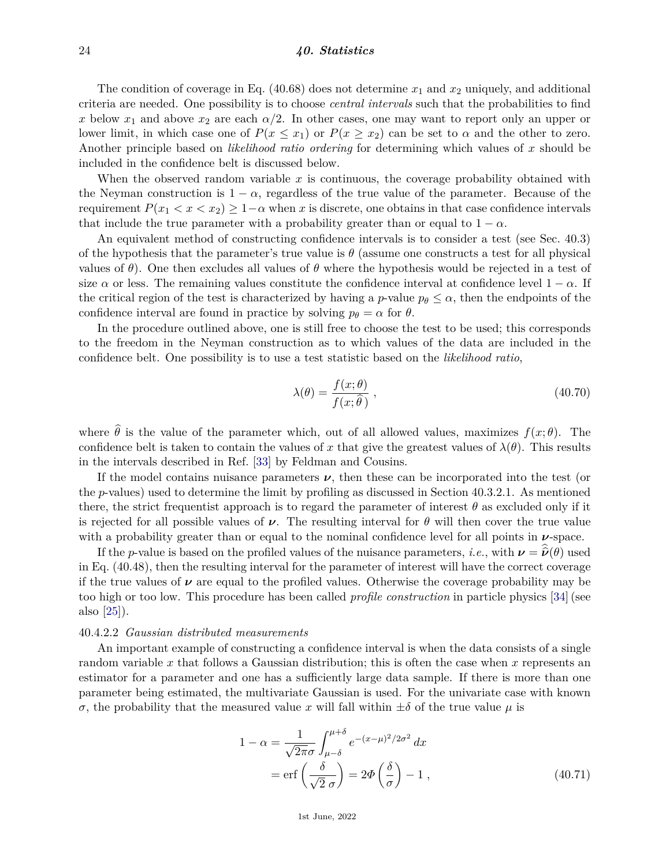The condition of coverage in Eq.  $(40.68)$  does not determine  $x_1$  and  $x_2$  uniquely, and additional criteria are needed. One possibility is to choose *central intervals* such that the probabilities to find *x* below  $x_1$  and above  $x_2$  are each  $\alpha/2$ . In other cases, one may want to report only an upper or lower limit, in which case one of  $P(x \leq x_1)$  or  $P(x \geq x_2)$  can be set to  $\alpha$  and the other to zero. Another principle based on *likelihood ratio ordering* for determining which values of *x* should be included in the confidence belt is discussed below.

When the observed random variable *x* is continuous, the coverage probability obtained with the Neyman construction is  $1 - \alpha$ , regardless of the true value of the parameter. Because of the requirement  $P(x_1 < x < x_2) \geq 1-\alpha$  when *x* is discrete, one obtains in that case confidence intervals that include the true parameter with a probability greater than or equal to  $1 - \alpha$ .

An equivalent method of constructing confidence intervals is to consider a test (see Sec. 40.3) of the hypothesis that the parameter's true value is  $\theta$  (assume one constructs a test for all physical values of  $\theta$ ). One then excludes all values of  $\theta$  where the hypothesis would be rejected in a test of size  $\alpha$  or less. The remaining values constitute the confidence interval at confidence level  $1 - \alpha$ . If the critical region of the test is characterized by having a *p*-value  $p_{\theta} \leq \alpha$ , then the endpoints of the confidence interval are found in practice by solving  $p_{\theta} = \alpha$  for  $\theta$ .

In the procedure outlined above, one is still free to choose the test to be used; this corresponds to the freedom in the Neyman construction as to which values of the data are included in the confidence belt. One possibility is to use a test statistic based on the *likelihood ratio*,

$$
\lambda(\theta) = \frac{f(x;\theta)}{f(x;\hat{\theta})},\tag{40.70}
$$

where  $\hat{\theta}$  is the value of the parameter which, out of all allowed values, maximizes  $f(x;\theta)$ . The confidence belt is taken to contain the values of x that give the greatest values of  $\lambda(\theta)$ . This results in the intervals described in Ref. [\[33\]](#page-34-14) by Feldman and Cousins.

If the model contains nuisance parameters  $\nu$ , then these can be incorporated into the test (or the *p*-values) used to determine the limit by profiling as discussed in Section 40.3.2.1. As mentioned there, the strict frequentist approach is to regard the parameter of interest  $\theta$  as excluded only if it is rejected for all possible values of  $\nu$ . The resulting interval for  $\theta$  will then cover the true value with a probability greater than or equal to the nominal confidence level for all points in  $\nu$ -space.

If the *p*-value is based on the profiled values of the nuisance parameters, *i.e.*, with  $\nu = \hat{\nu}(\theta)$  used in Eq. (40.48), then the resulting interval for the parameter of interest will have the correct coverage if the true values of  $\nu$  are equal to the profiled values. Otherwise the coverage probability may be too high or too low. This procedure has been called *profile construction* in particle physics [\[34\]](#page-34-15) (see also [\[25\]](#page-34-6)).

#### 40.4.2.2 *Gaussian distributed measurements*

An important example of constructing a confidence interval is when the data consists of a single random variable *x* that follows a Gaussian distribution; this is often the case when *x* represents an estimator for a parameter and one has a sufficiently large data sample. If there is more than one parameter being estimated, the multivariate Gaussian is used. For the univariate case with known  $\sigma$ , the probability that the measured value *x* will fall within  $\pm \delta$  of the true value  $\mu$  is

$$
1 - \alpha = \frac{1}{\sqrt{2\pi}\sigma} \int_{\mu-\delta}^{\mu+\delta} e^{-(x-\mu)^2/2\sigma^2} dx
$$
  
= erf  $\left(\frac{\delta}{\sqrt{2}\sigma}\right) = 2\Phi\left(\frac{\delta}{\sigma}\right) - 1$ , (40.71)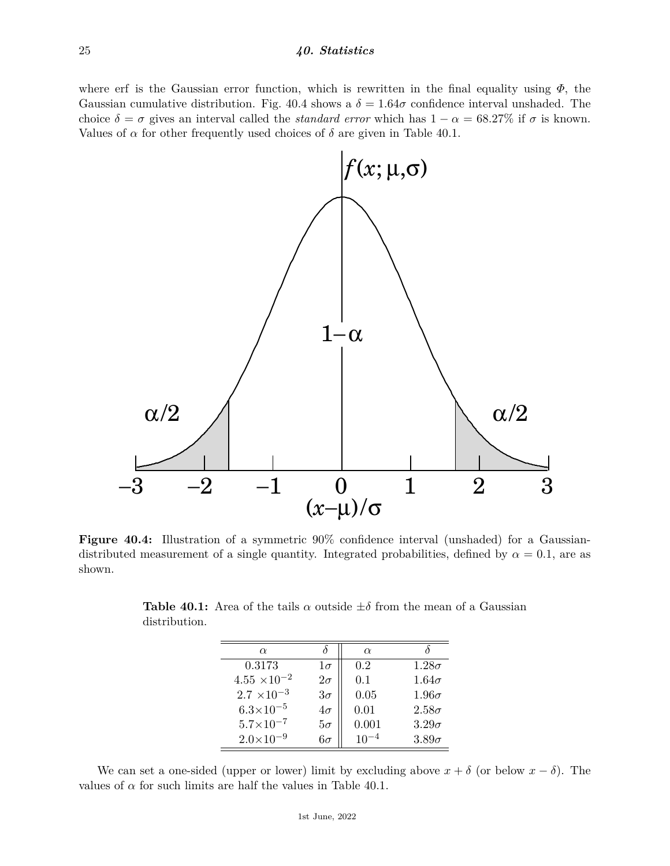where erf is the Gaussian error function, which is rewritten in the final equality using *Φ*, the Gaussian cumulative distribution. Fig. 40.4 shows a  $\delta = 1.64\sigma$  confidence interval unshaded. The choice  $\delta = \sigma$  gives an interval called the *standard error* which has  $1 - \alpha = 68.27\%$  if  $\sigma$  is known. Values of  $\alpha$  for other frequently used choices of  $\delta$  are given in Table 40.1.



**Figure 40.4:** Illustration of a symmetric 90% confidence interval (unshaded) for a Gaussiandistributed measurement of a single quantity. Integrated probabilities, defined by  $\alpha = 0.1$ , are as shown.

**Table 40.1:** Area of the tails  $\alpha$  outside  $\pm \delta$  from the mean of a Gaussian distribution.

| $\alpha$              |           | $\alpha$  |              |
|-----------------------|-----------|-----------|--------------|
| 0.3173                | $1\sigma$ | 0.2       | $1.28\sigma$ |
| $4.55 \times 10^{-2}$ | $2\sigma$ | 0.1       | $1.64\sigma$ |
| $2.7 \times 10^{-3}$  | $3\sigma$ | 0.05      | $1.96\sigma$ |
| $6.3 \times 10^{-5}$  | $4\sigma$ | 0.01      | $2.58\sigma$ |
| $5.7 \times 10^{-7}$  | $5\sigma$ | 0.001     | $3.29\sigma$ |
| $2.0\times10^{-9}$    | $6\sigma$ | $10^{-4}$ | $3.89\sigma$ |

We can set a one-sided (upper or lower) limit by excluding above  $x + \delta$  (or below  $x - \delta$ ). The values of  $\alpha$  for such limits are half the values in Table 40.1.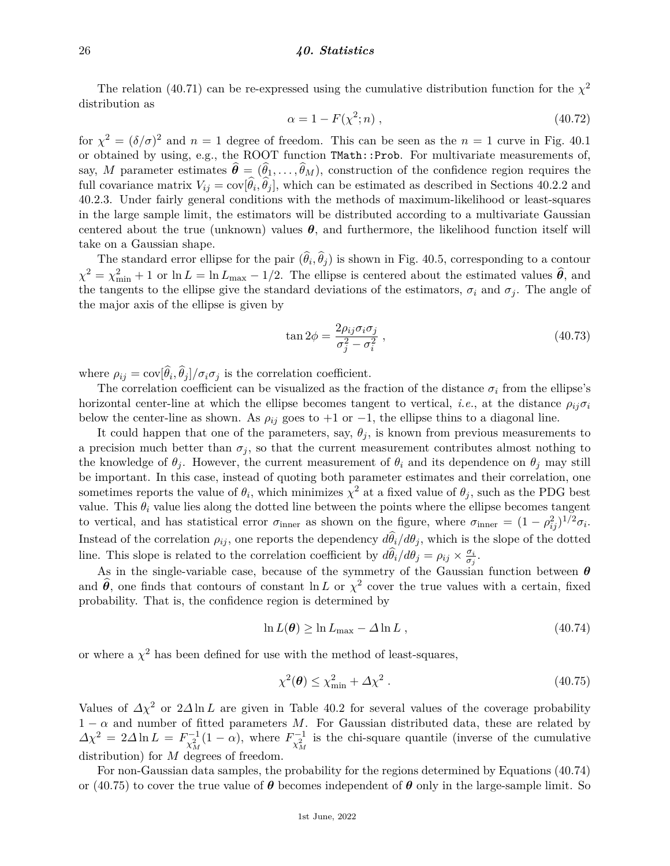The relation (40.71) can be re-expressed using the cumulative distribution function for the  $\chi^2$ distribution as

$$
\alpha = 1 - F(\chi^2; n) \,, \tag{40.72}
$$

for  $\chi^2 = (\delta/\sigma)^2$  and  $n = 1$  degree of freedom. This can be seen as the  $n = 1$  curve in Fig. 40.1 or obtained by using, e.g., the ROOT function TMath::Prob. For multivariate measurements of, say, *M* parameter estimates  $\boldsymbol{\theta} = (\theta_1, \dots, \theta_M)$ , construction of the confidence region requires the full covariance matrix  $V_{ij} = \text{cov}[\theta_i, \theta_j]$ , which can be estimated as described in Sections 40.2.2 and 40.2.3. Under fairly general conditions with the methods of maximum-likelihood or least-squares in the large sample limit, the estimators will be distributed according to a multivariate Gaussian centered about the true (unknown) values  $\theta$ , and furthermore, the likelihood function itself will take on a Gaussian shape.

The standard error ellipse for the pair  $(\theta_i, \theta_j)$  is shown in Fig. 40.5, corresponding to a contour  $\chi^2 = \chi^2_{\rm min} + 1$  or  $\ln L = \ln L_{\rm max} - 1/2$ . The ellipse is centered about the estimated values  $\hat{\theta}$ , and the tangents to the ellipse give the standard deviations of the estimators,  $\sigma_i$  and  $\sigma_j$ . The angle of the major axis of the ellipse is given by

$$
\tan 2\phi = \frac{2\rho_{ij}\sigma_i\sigma_j}{\sigma_j^2 - \sigma_i^2},\tag{40.73}
$$

where  $\rho_{ij} = \text{cov}[\theta_i, \theta_j]/\sigma_i \sigma_j$  is the correlation coefficient.

The correlation coefficient can be visualized as the fraction of the distance  $\sigma_i$  from the ellipse's horizontal center-line at which the ellipse becomes tangent to vertical, *i.e.*, at the distance  $\rho_{ij}\sigma_i$ below the center-line as shown. As  $\rho_{ij}$  goes to +1 or -1, the ellipse thins to a diagonal line.

It could happen that one of the parameters, say,  $\theta_j$ , is known from previous measurements to a precision much better than  $\sigma_j$ , so that the current measurement contributes almost nothing to the knowledge of  $\theta_j$ . However, the current measurement of  $\theta_i$  and its dependence on  $\theta_j$  may still be important. In this case, instead of quoting both parameter estimates and their correlation, one sometimes reports the value of  $\theta_i$ , which minimizes  $\chi^2$  at a fixed value of  $\theta_j$ , such as the PDG best value. This  $\theta_i$  value lies along the dotted line between the points where the ellipse becomes tangent to vertical, and has statistical error  $\sigma_{\text{inner}}$  as shown on the figure, where  $\sigma_{\text{inner}} = (1 - \rho_{ij}^2)^{1/2} \sigma_i$ . Instead of the correlation  $\rho_{ij}$ , one reports the dependency  $d\theta_i/d\theta_j$ , which is the slope of the dotted line. This slope is related to the correlation coefficient by  $d\hat{\theta}_i/d\theta_j = \rho_{ij} \times \frac{\sigma_i}{\sigma_j}$  $\frac{\sigma_i}{\sigma_j}$ .

As in the single-variable case, because of the symmetry of the Gaussian function between *θ* and  $\hat{\theta}$ , one finds that contours of constant ln *L* or  $\chi^2$  cover the true values with a certain, fixed probability. That is, the confidence region is determined by

$$
\ln L(\theta) \ge \ln L_{\text{max}} - \Delta \ln L , \qquad (40.74)
$$

or where a  $\chi^2$  has been defined for use with the method of least-squares,

$$
\chi^2(\boldsymbol{\theta}) \le \chi^2_{\min} + \Delta \chi^2 \,. \tag{40.75}
$$

Values of  $\Delta \chi^2$  or  $2\Delta \ln L$  are given in Table 40.2 for several values of the coverage probability  $1 - \alpha$  and number of fitted parameters *M*. For Gaussian distributed data, these are related by  $\Delta \chi^2 = 2 \Delta \ln L = F^{-1}_{\chi^2}$  $\chi^{\text{-1}}_{\chi^2_M} (1 - \alpha)$ , where  $F^{-1}_{\chi^2_M}$  $\chi^{\text{1}}_{M}$  is the chi-square quantile (inverse of the cumulative distribution) for *M* degrees of freedom.

For non-Gaussian data samples, the probability for the regions determined by Equations (40.74) or (40.75) to cover the true value of  $\theta$  becomes independent of  $\theta$  only in the large-sample limit. So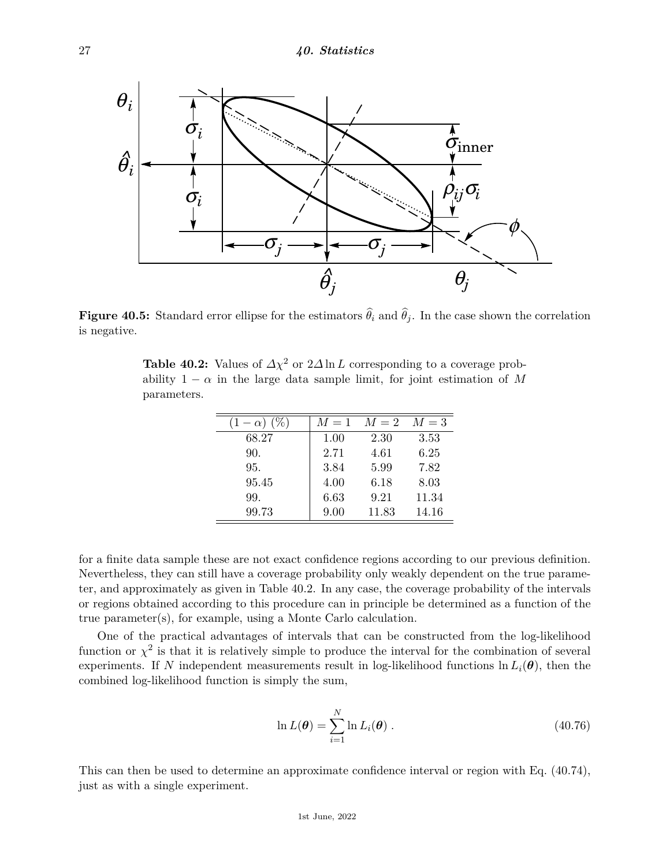

**Figure 40.5:** Standard error ellipse for the estimators  $\hat{\theta}_i$  and  $\hat{\theta}_j$ . In the case shown the correlation is negative.

| $(1-\alpha)$ $(\%)$ |      | $M=1$ $M=2$ $M=3$ |       |
|---------------------|------|-------------------|-------|
| 68.27               | 1.00 | 2.30              | 3.53  |
| 90.                 | 2.71 | 4.61              | 6.25  |
| 95.                 | 3.84 | 5.99              | 7.82  |
| 95.45               | 4.00 | 6.18              | 8.03  |
| 99.                 | 6.63 | 9.21              | 11.34 |
| 99.73               | 9.00 | 11.83             | 14.16 |

**Table 40.2:** Values of  $\Delta \chi^2$  or  $2\Delta \ln L$  corresponding to a coverage probability  $1 - \alpha$  in the large data sample limit, for joint estimation of M parameters.

for a finite data sample these are not exact confidence regions according to our previous definition. Nevertheless, they can still have a coverage probability only weakly dependent on the true parameter, and approximately as given in Table 40.2. In any case, the coverage probability of the intervals or regions obtained according to this procedure can in principle be determined as a function of the true parameter(s), for example, using a Monte Carlo calculation.

One of the practical advantages of intervals that can be constructed from the log-likelihood function or  $\chi^2$  is that it is relatively simple to produce the interval for the combination of several experiments. If *N* independent measurements result in log-likelihood functions  $\ln L_i(\theta)$ , then the combined log-likelihood function is simply the sum,

$$
\ln L(\boldsymbol{\theta}) = \sum_{i=1}^{N} \ln L_i(\boldsymbol{\theta}). \qquad (40.76)
$$

This can then be used to determine an approximate confidence interval or region with Eq. (40.74), just as with a single experiment.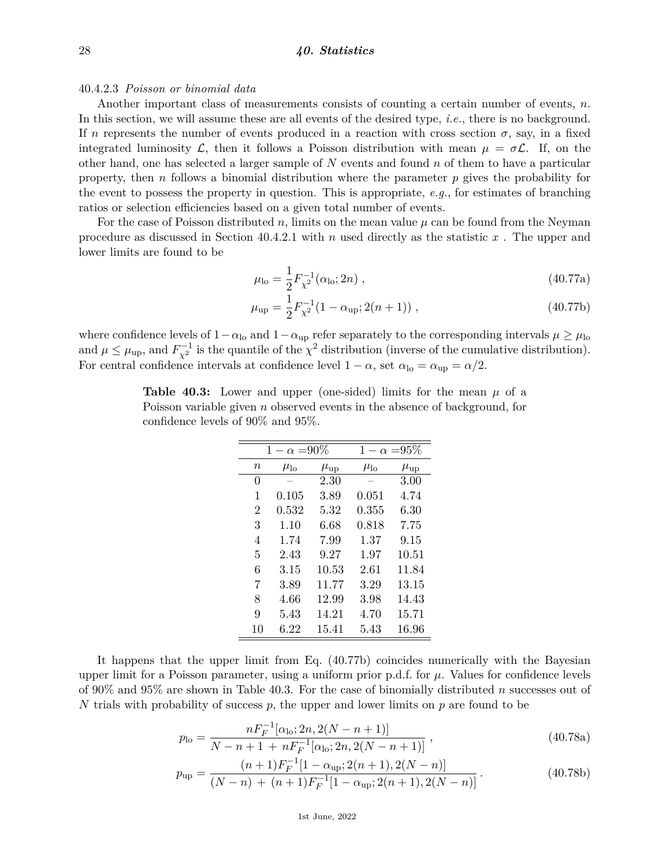#### 40.4.2.3 *Poisson or binomial data*

Another important class of measurements consists of counting a certain number of events, *n*. In this section, we will assume these are all events of the desired type, *i.e.*, there is no background. If *n* represents the number of events produced in a reaction with cross section  $\sigma$ , say, in a fixed integrated luminosity L, then it follows a Poisson distribution with mean  $\mu = \sigma \mathcal{L}$ . If, on the other hand, one has selected a larger sample of *N* events and found *n* of them to have a particular property, then *n* follows a binomial distribution where the parameter *p* gives the probability for the event to possess the property in question. This is appropriate, *e.g.*, for estimates of branching ratios or selection efficiencies based on a given total number of events.

For the case of Poisson distributed *n*, limits on the mean value  $\mu$  can be found from the Neyman procedure as discussed in Section 40.4.2.1 with *n* used directly as the statistic *x* . The upper and lower limits are found to be

$$
\mu_{\rm lo} = \frac{1}{2} F_{\chi^2}^{-1}(\alpha_{\rm lo}; 2n) , \qquad (40.77a)
$$

$$
\mu_{\rm up} = \frac{1}{2} F_{\chi^2}^{-1} (1 - \alpha_{\rm up}; 2(n+1)), \qquad (40.77b)
$$

where confidence levels of  $1-\alpha_{\text{lo}}$  and  $1-\alpha_{\text{up}}$  refer separately to the corresponding intervals  $\mu \geq \mu_{\text{lo}}$ and  $\mu \leq \mu_{\rm up}$ , and  $F^{-1}_{\chi^2}$  is the quantile of the  $\chi^2$  distribution (inverse of the cumulative distribution). For central confidence intervals at confidence level  $1 - \alpha$ , set  $\alpha_{\text{lo}} = \alpha_{\text{up}} = \alpha/2$ .

| $1 - \alpha = 90\%$ |                | $1 - \alpha = 95\%$ |                |                |
|---------------------|----------------|---------------------|----------------|----------------|
| $\it n$             | $\mu_{\rm lo}$ | $\mu_{\rm up}$      | $\mu_{\rm lo}$ | $\mu_{\rm up}$ |
| 0                   |                | 2.30                |                | $3.00\,$       |
| 1                   | 0.105          | 3.89                | 0.051          | 4.74           |
| $\overline{2}$      | $\;\:0.532$    | 5.32                | 0.355          | 6.30           |
| 3                   | 1.10           | 6.68                | 0.818          | 7.75           |
| 4                   | 1.74           | 7.99                | 1.37           | 9.15           |
| 5                   | 2.43           | 9.27                | 1.97           | 10.51          |
| 6                   | 3.15           | 10.53               | 2.61           | 11.84          |
| 7                   | 3.89           | 11.77               | 3.29           | 13.15          |
| 8                   | 4.66           | 12.99               | 3.98           | 14.43          |
| 9                   | 5.43           | 14.21               | 4.70           | 15.71          |
| 10                  | 6.22           | 15.41               | 5.43           | 16.96          |

**Table 40.3:** Lower and upper (one-sided) limits for the mean *µ* of a Poisson variable given *n* observed events in the absence of background, for confidence levels of 90% and 95%.

It happens that the upper limit from Eq. (40.77b) coincides numerically with the Bayesian upper limit for a Poisson parameter, using a uniform prior p.d.f. for  $\mu$ . Values for confidence levels of 90% and 95% are shown in Table 40.3. For the case of binomially distributed *n* successes out of *N* trials with probability of success *p*, the upper and lower limits on *p* are found to be

$$
p_{\rm lo} = \frac{nF_F^{-1}[\alpha_{\rm lo}; 2n, 2(N - n + 1)]}{N - n + 1 + nF_F^{-1}[\alpha_{\rm lo}; 2n, 2(N - n + 1)]},
$$
\n(40.78a)

$$
p_{\rm up} = \frac{(n+1)F_F^{-1}[1 - \alpha_{\rm up}; 2(n+1), 2(N-n)]}{(N-n) + (n+1)F_F^{-1}[1 - \alpha_{\rm up}; 2(n+1), 2(N-n)]}.
$$
 (40.78b)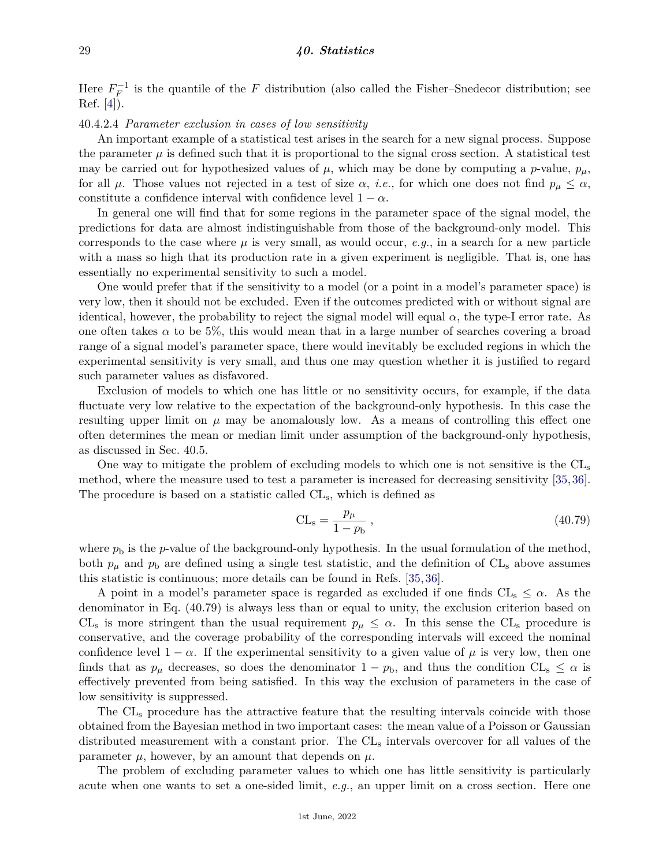Here  $F_F^{-1}$  is the quantile of the *F* distribution (also called the Fisher–Snedecor distribution; see Ref. [\[4\]](#page-33-3)).

40.4.2.4 *Parameter exclusion in cases of low sensitivity*

An important example of a statistical test arises in the search for a new signal process. Suppose the parameter  $\mu$  is defined such that it is proportional to the signal cross section. A statistical test may be carried out for hypothesized values of  $\mu$ , which may be done by computing a *p*-value,  $p_{\mu}$ , for all *µ*. Those values not rejected in a test of size  $\alpha$ , *i.e.*, for which one does not find  $p_{\mu} \leq \alpha$ , constitute a confidence interval with confidence level  $1 - \alpha$ .

In general one will find that for some regions in the parameter space of the signal model, the predictions for data are almost indistinguishable from those of the background-only model. This corresponds to the case where  $\mu$  is very small, as would occur, *e.g.*, in a search for a new particle with a mass so high that its production rate in a given experiment is negligible. That is, one has essentially no experimental sensitivity to such a model.

One would prefer that if the sensitivity to a model (or a point in a model's parameter space) is very low, then it should not be excluded. Even if the outcomes predicted with or without signal are identical, however, the probability to reject the signal model will equal  $\alpha$ , the type-I error rate. As one often takes  $\alpha$  to be 5%, this would mean that in a large number of searches covering a broad range of a signal model's parameter space, there would inevitably be excluded regions in which the experimental sensitivity is very small, and thus one may question whether it is justified to regard such parameter values as disfavored.

Exclusion of models to which one has little or no sensitivity occurs, for example, if the data fluctuate very low relative to the expectation of the background-only hypothesis. In this case the resulting upper limit on  $\mu$  may be anomalously low. As a means of controlling this effect one often determines the mean or median limit under assumption of the background-only hypothesis, as discussed in Sec. 40.5.

One way to mitigate the problem of excluding models to which one is not sensitive is the  $CL_s$ method, where the measure used to test a parameter is increased for decreasing sensitivity [\[35,](#page-34-16)[36\]](#page-34-17). The procedure is based on a statistic called  $CL_s$ , which is defined as

$$
CL_s = \frac{p_\mu}{1 - p_b} \,,\tag{40.79}
$$

where  $p<sub>b</sub>$  is the *p*-value of the background-only hypothesis. In the usual formulation of the method, both  $p_\mu$  and  $p_\text{b}$  are defined using a single test statistic, and the definition of  $CL_s$  above assumes this statistic is continuous; more details can be found in Refs. [\[35,](#page-34-16) [36\]](#page-34-17).

A point in a model's parameter space is regarded as excluded if one finds  $CL_s \leq \alpha$ . As the denominator in Eq. (40.79) is always less than or equal to unity, the exclusion criterion based on  $CL<sub>s</sub>$  is more stringent than the usual requirement  $p_{\mu} \leq \alpha$ . In this sense the  $CL<sub>s</sub>$  procedure is conservative, and the coverage probability of the corresponding intervals will exceed the nominal confidence level  $1 - \alpha$ . If the experimental sensitivity to a given value of  $\mu$  is very low, then one finds that as  $p_\mu$  decreases, so does the denominator  $1 - p_\text{b}$ , and thus the condition  $CL_s \leq \alpha$  is effectively prevented from being satisfied. In this way the exclusion of parameters in the case of low sensitivity is suppressed.

The CL<sub>s</sub> procedure has the attractive feature that the resulting intervals coincide with those obtained from the Bayesian method in two important cases: the mean value of a Poisson or Gaussian distributed measurement with a constant prior. The CL<sub>s</sub> intervals overcover for all values of the parameter  $\mu$ , however, by an amount that depends on  $\mu$ .

The problem of excluding parameter values to which one has little sensitivity is particularly acute when one wants to set a one-sided limit, *e.g.*, an upper limit on a cross section. Here one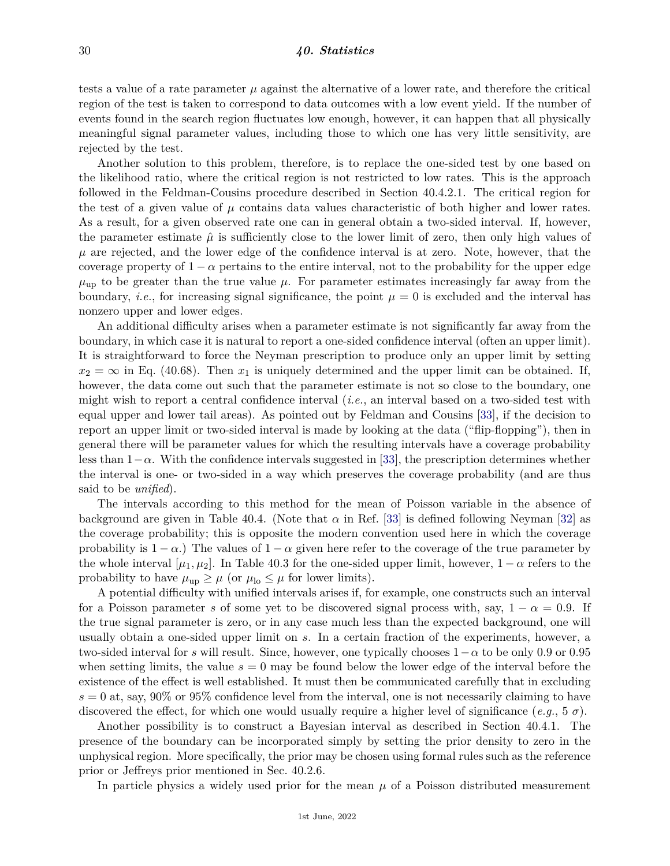tests a value of a rate parameter  $\mu$  against the alternative of a lower rate, and therefore the critical region of the test is taken to correspond to data outcomes with a low event yield. If the number of events found in the search region fluctuates low enough, however, it can happen that all physically meaningful signal parameter values, including those to which one has very little sensitivity, are rejected by the test.

Another solution to this problem, therefore, is to replace the one-sided test by one based on the likelihood ratio, where the critical region is not restricted to low rates. This is the approach followed in the Feldman-Cousins procedure described in Section 40.4.2.1. The critical region for the test of a given value of  $\mu$  contains data values characteristic of both higher and lower rates. As a result, for a given observed rate one can in general obtain a two-sided interval. If, however, the parameter estimate  $\hat{\mu}$  is sufficiently close to the lower limit of zero, then only high values of  $\mu$  are rejected, and the lower edge of the confidence interval is at zero. Note, however, that the coverage property of  $1 - \alpha$  pertains to the entire interval, not to the probability for the upper edge  $\mu_{\text{up}}$  to be greater than the true value  $\mu$ . For parameter estimates increasingly far away from the boundary, *i.e.*, for increasing signal significance, the point  $\mu = 0$  is excluded and the interval has nonzero upper and lower edges.

An additional difficulty arises when a parameter estimate is not significantly far away from the boundary, in which case it is natural to report a one-sided confidence interval (often an upper limit). It is straightforward to force the Neyman prescription to produce only an upper limit by setting  $x_2 = \infty$  in Eq. (40.68). Then  $x_1$  is uniquely determined and the upper limit can be obtained. If, however, the data come out such that the parameter estimate is not so close to the boundary, one might wish to report a central confidence interval (*i.e.*, an interval based on a two-sided test with equal upper and lower tail areas). As pointed out by Feldman and Cousins [\[33\]](#page-34-14), if the decision to report an upper limit or two-sided interval is made by looking at the data ("flip-flopping"), then in general there will be parameter values for which the resulting intervals have a coverage probability less than  $1-\alpha$ . With the confidence intervals suggested in [\[33\]](#page-34-14), the prescription determines whether the interval is one- or two-sided in a way which preserves the coverage probability (and are thus said to be *unified*).

The intervals according to this method for the mean of Poisson variable in the absence of background are given in Table 40.4. (Note that  $\alpha$  in Ref. [\[33\]](#page-34-14) is defined following Neyman [\[32\]](#page-34-13) as the coverage probability; this is opposite the modern convention used here in which the coverage probability is  $1 - \alpha$ .) The values of  $1 - \alpha$  given here refer to the coverage of the true parameter by the whole interval  $[\mu_1, \mu_2]$ . In Table 40.3 for the one-sided upper limit, however,  $1 - \alpha$  refers to the probability to have  $\mu_{\rm up} \geq \mu$  (or  $\mu_{\rm lo} \leq \mu$  for lower limits).

A potential difficulty with unified intervals arises if, for example, one constructs such an interval for a Poisson parameter *s* of some yet to be discovered signal process with, say,  $1 - \alpha = 0.9$ . If the true signal parameter is zero, or in any case much less than the expected background, one will usually obtain a one-sided upper limit on *s*. In a certain fraction of the experiments, however, a two-sided interval for *s* will result. Since, however, one typically chooses 1−*α* to be only 0*.*9 or 0*.*95 when setting limits, the value  $s = 0$  may be found below the lower edge of the interval before the existence of the effect is well established. It must then be communicated carefully that in excluding  $s = 0$  at, say, 90% or 95% confidence level from the interval, one is not necessarily claiming to have discovered the effect, for which one would usually require a higher level of significance (*e.g.*, 5 *σ*).

Another possibility is to construct a Bayesian interval as described in Section 40.4.1. The presence of the boundary can be incorporated simply by setting the prior density to zero in the unphysical region. More specifically, the prior may be chosen using formal rules such as the reference prior or Jeffreys prior mentioned in Sec. 40.2.6.

In particle physics a widely used prior for the mean  $\mu$  of a Poisson distributed measurement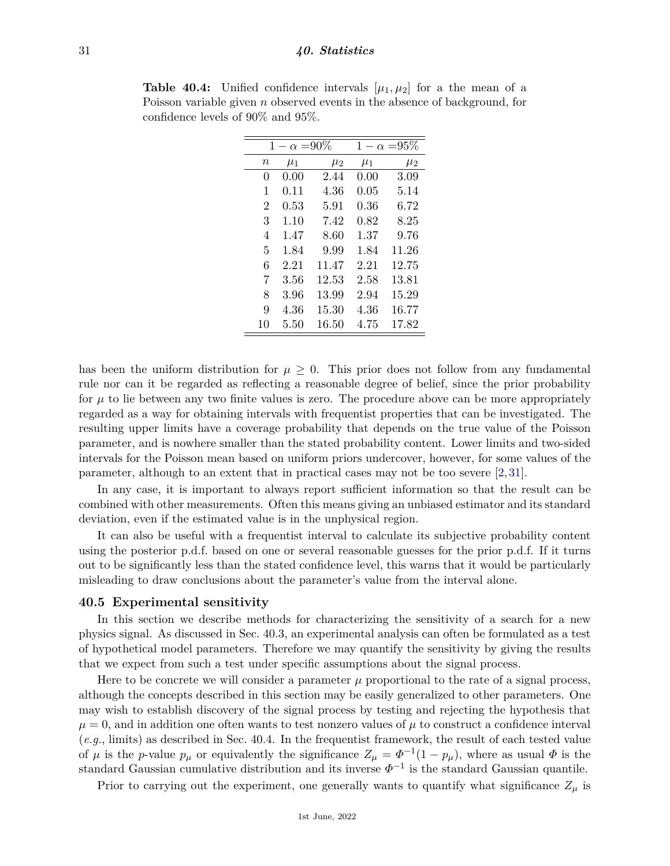|                | $-\alpha = 90\%$<br>$\mathbf{1}$ |         | $1 - \alpha = 95\%$ |         |
|----------------|----------------------------------|---------|---------------------|---------|
| $\it n$        | $\mu_1$                          | $\mu_2$ | $\mu_1$             | $\mu_2$ |
| $\mathbf{0}$   | 0.00                             | 2.44    | 0.00                | 3.09    |
| 1              | 0.11                             | 4.36    | 0.05                | 5.14    |
| $\overline{2}$ | 0.53                             | 5.91    | 0.36                | 6.72    |
| 3              | 1.10                             | 7.42    | 0.82                | 8.25    |
| 4              | 1.47                             | 8.60    | 1.37                | 9.76    |
| 5              | 1.84                             | 9.99    | 1.84                | 11.26   |
| 6              | 2.21                             | 11.47   | 2.21                | 12.75   |
| 7              | 3.56                             | 12.53   | 2.58                | 13.81   |
| 8              | 3.96                             | 13.99   | 2.94                | 15.29   |
| 9              | 4.36                             | 15.30   | 4.36                | 16.77   |
| 10             | 5.50                             | 16.50   | 4.75                | 17.82   |

**Table 40.4:** Unified confidence intervals  $[\mu_1, \mu_2]$  for a the mean of a Poisson variable given *n* observed events in the absence of background, for confidence levels of 90% and 95%.

has been the uniform distribution for  $\mu \geq 0$ . This prior does not follow from any fundamental rule nor can it be regarded as reflecting a reasonable degree of belief, since the prior probability for  $\mu$  to lie between any two finite values is zero. The procedure above can be more appropriately regarded as a way for obtaining intervals with frequentist properties that can be investigated. The resulting upper limits have a coverage probability that depends on the true value of the Poisson parameter, and is nowhere smaller than the stated probability content. Lower limits and two-sided intervals for the Poisson mean based on uniform priors undercover, however, for some values of the parameter, although to an extent that in practical cases may not be too severe [\[2,](#page-33-1) [31\]](#page-34-12).

In any case, it is important to always report sufficient information so that the result can be combined with other measurements. Often this means giving an unbiased estimator and its standard deviation, even if the estimated value is in the unphysical region.

It can also be useful with a frequentist interval to calculate its subjective probability content using the posterior p.d.f. based on one or several reasonable guesses for the prior p.d.f. If it turns out to be significantly less than the stated confidence level, this warns that it would be particularly misleading to draw conclusions about the parameter's value from the interval alone.

#### **40.5 Experimental sensitivity**

In this section we describe methods for characterizing the sensitivity of a search for a new physics signal. As discussed in Sec. 40.3, an experimental analysis can often be formulated as a test of hypothetical model parameters. Therefore we may quantify the sensitivity by giving the results that we expect from such a test under specific assumptions about the signal process.

Here to be concrete we will consider a parameter  $\mu$  proportional to the rate of a signal process, although the concepts described in this section may be easily generalized to other parameters. One may wish to establish discovery of the signal process by testing and rejecting the hypothesis that  $\mu = 0$ , and in addition one often wants to test nonzero values of  $\mu$  to construct a confidence interval (*e.g.*, limits) as described in Sec. 40.4. In the frequentist framework, the result of each tested value of  $\mu$  is the *p*-value  $p_{\mu}$  or equivalently the significance  $Z_{\mu} = \Phi^{-1}(1 - p_{\mu})$ , where as usual  $\Phi$  is the standard Gaussian cumulative distribution and its inverse  $\Phi^{-1}$  is the standard Gaussian quantile.

Prior to carrying out the experiment, one generally wants to quantify what significance  $Z_\mu$  is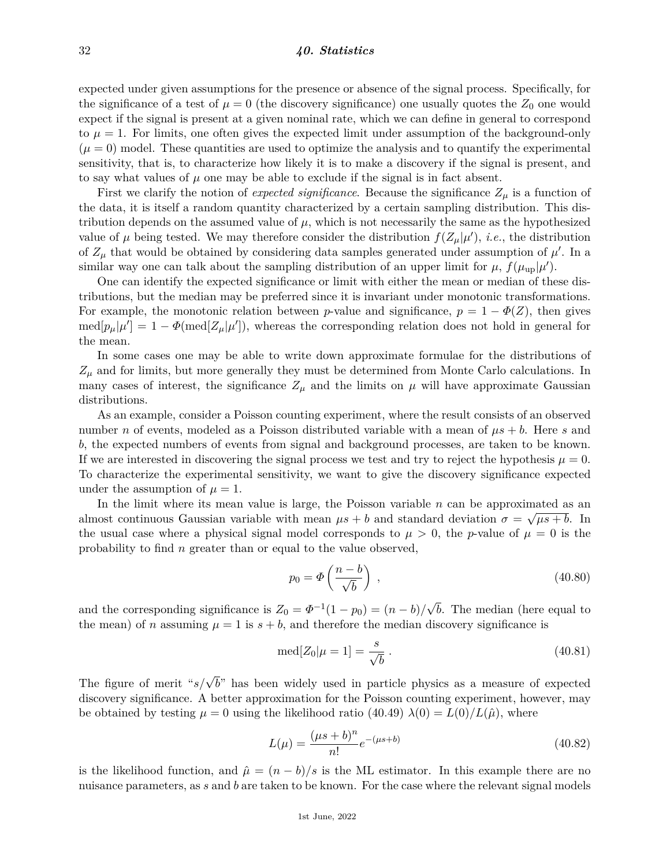expected under given assumptions for the presence or absence of the signal process. Specifically, for the significance of a test of  $\mu = 0$  (the discovery significance) one usually quotes the  $Z_0$  one would expect if the signal is present at a given nominal rate, which we can define in general to correspond to  $\mu = 1$ . For limits, one often gives the expected limit under assumption of the background-only  $(\mu = 0)$  model. These quantities are used to optimize the analysis and to quantify the experimental sensitivity, that is, to characterize how likely it is to make a discovery if the signal is present, and to say what values of  $\mu$  one may be able to exclude if the signal is in fact absent.

First we clarify the notion of *expected significance*. Because the significance  $Z_\mu$  is a function of the data, it is itself a random quantity characterized by a certain sampling distribution. This distribution depends on the assumed value of  $\mu$ , which is not necessarily the same as the hypothesized value of  $\mu$  being tested. We may therefore consider the distribution  $f(Z_{\mu}|\mu')$ , *i.e.*, the distribution of  $Z_{\mu}$  that would be obtained by considering data samples generated under assumption of  $\mu'$ . In a similar way one can talk about the sampling distribution of an upper limit for  $\mu$ ,  $f(\mu_{\rm up}|\mu')$ .

One can identify the expected significance or limit with either the mean or median of these distributions, but the median may be preferred since it is invariant under monotonic transformations. For example, the monotonic relation between *p*-value and significance,  $p = 1 - \Phi(Z)$ , then gives  $\text{med}[p_{\mu}|\mu'] = 1 - \Phi(\text{med}[Z_{\mu}|\mu'])$ , whereas the corresponding relation does not hold in general for the mean.

In some cases one may be able to write down approximate formulae for the distributions of *Z<sup>µ</sup>* and for limits, but more generally they must be determined from Monte Carlo calculations. In many cases of interest, the significance  $Z_\mu$  and the limits on  $\mu$  will have approximate Gaussian distributions.

As an example, consider a Poisson counting experiment, where the result consists of an observed number *n* of events, modeled as a Poisson distributed variable with a mean of *µs* + *b*. Here *s* and *b*, the expected numbers of events from signal and background processes, are taken to be known. If we are interested in discovering the signal process we test and try to reject the hypothesis  $\mu = 0$ . To characterize the experimental sensitivity, we want to give the discovery significance expected under the assumption of  $\mu = 1$ .

In the limit where its mean value is large, the Poisson variable  $n$  can be approximated as an almost continuous Gaussian variable with mean  $\mu s + b$  and standard deviation  $\sigma = \sqrt{\mu s + b}$ . In the usual case where a physical signal model corresponds to  $\mu > 0$ , the *p*-value of  $\mu = 0$  is the probability to find *n* greater than or equal to the value observed,

$$
p_0 = \Phi\left(\frac{n-b}{\sqrt{b}}\right) \,,\tag{40.80}
$$

and the corresponding significance is  $Z_0 = \Phi^{-1}(1 - p_0) = (n - b)/$ √ *b*. The median (here equal to the mean) of *n* assuming  $\mu = 1$  is  $s + b$ , and therefore the median discovery significance is

$$
med[Z_0|\mu=1] = \frac{s}{\sqrt{b}}.
$$
\n(40.81)

The figure of merit " $s/\sqrt{b}$ " has been widely used in particle physics as a measure of expected discovery significance. A better approximation for the Poisson counting experiment, however, may be obtained by testing  $\mu = 0$  using the likelihood ratio  $(40.49) \lambda(0) = L(0)/L(\hat{\mu})$ , where

$$
L(\mu) = \frac{(\mu s + b)^n}{n!} e^{-(\mu s + b)} \tag{40.82}
$$

is the likelihood function, and  $\hat{\mu} = (n - b)/s$  is the ML estimator. In this example there are no nuisance parameters, as *s* and *b* are taken to be known. For the case where the relevant signal models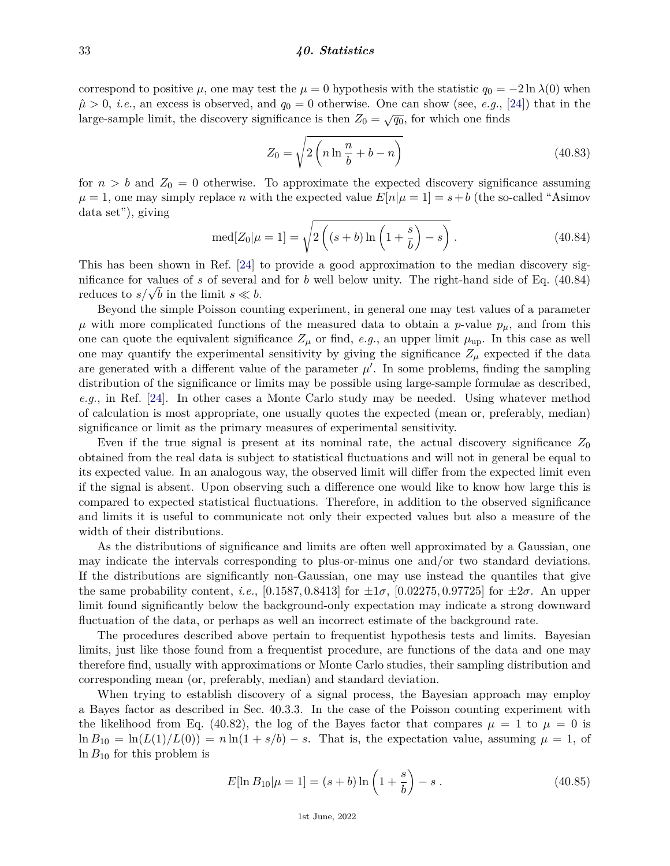correspond to positive  $\mu$ , one may test the  $\mu = 0$  hypothesis with the statistic  $q_0 = -2 \ln \lambda(0)$  when  $\hat{\mu} > 0$ , *i.e.*, an excess is observed, and  $q_0 = 0$  otherwise. One can show (see, *e.g.*, [\[24\]](#page-34-5)) that in the large-sample limit, the discovery significance is then  $Z_0 = \sqrt{q_0}$ , for which one finds

$$
Z_0 = \sqrt{2\left(n\ln\frac{n}{b} + b - n\right)}\tag{40.83}
$$

for  $n > b$  and  $Z_0 = 0$  otherwise. To approximate the expected discovery significance assuming  $\mu = 1$ , one may simply replace *n* with the expected value  $E[n|\mu=1] = s+b$  (the so-called "Asimov" data set"), giving

$$
med[Z_0|\mu=1] = \sqrt{2((s+b)\ln(1+\frac{s}{b})-s)}.
$$
\n(40.84)

This has been shown in Ref. [\[24\]](#page-34-5) to provide a good approximation to the median discovery significance for values of *s* of several and for *b* well below unity. The right-hand side of Eq. (40.84) mincance for values of *s* of several<br>reduces to  $s/\sqrt{b}$  in the limit  $s \ll b$ .

Beyond the simple Poisson counting experiment, in general one may test values of a parameter  $\mu$  with more complicated functions of the measured data to obtain a *p*-value  $p_{\mu}$ , and from this one can quote the equivalent significance  $Z_{\mu}$  or find, *e.g.*, an upper limit  $\mu_{\text{up}}$ . In this case as well one may quantify the experimental sensitivity by giving the significance  $Z_\mu$  expected if the data are generated with a different value of the parameter  $\mu'$ . In some problems, finding the sampling distribution of the significance or limits may be possible using large-sample formulae as described, *e.g.*, in Ref. [\[24\]](#page-34-5). In other cases a Monte Carlo study may be needed. Using whatever method of calculation is most appropriate, one usually quotes the expected (mean or, preferably, median) significance or limit as the primary measures of experimental sensitivity.

Even if the true signal is present at its nominal rate, the actual discovery significance  $Z_0$ obtained from the real data is subject to statistical fluctuations and will not in general be equal to its expected value. In an analogous way, the observed limit will differ from the expected limit even if the signal is absent. Upon observing such a difference one would like to know how large this is compared to expected statistical fluctuations. Therefore, in addition to the observed significance and limits it is useful to communicate not only their expected values but also a measure of the width of their distributions.

As the distributions of significance and limits are often well approximated by a Gaussian, one may indicate the intervals corresponding to plus-or-minus one and/or two standard deviations. If the distributions are significantly non-Gaussian, one may use instead the quantiles that give the same probability content, *i.e.*, [0.1587, 0.8413] for  $\pm 1\sigma$ , [0.02275, 0.97725] for  $\pm 2\sigma$ . An upper limit found significantly below the background-only expectation may indicate a strong downward fluctuation of the data, or perhaps as well an incorrect estimate of the background rate.

The procedures described above pertain to frequentist hypothesis tests and limits. Bayesian limits, just like those found from a frequentist procedure, are functions of the data and one may therefore find, usually with approximations or Monte Carlo studies, their sampling distribution and corresponding mean (or, preferably, median) and standard deviation.

When trying to establish discovery of a signal process, the Bayesian approach may employ a Bayes factor as described in Sec. 40.3.3. In the case of the Poisson counting experiment with the likelihood from Eq. (40.82), the log of the Bayes factor that compares  $\mu = 1$  to  $\mu = 0$  is  $\ln B_{10} = \ln(L(1)/L(0)) = n \ln(1 + s/b) - s$ . That is, the expectation value, assuming  $\mu = 1$ , of ln *B*<sup>10</sup> for this problem is

$$
E[\ln B_{10}|\mu=1] = (s+b)\ln\left(1+\frac{s}{b}\right) - s.
$$
 (40.85)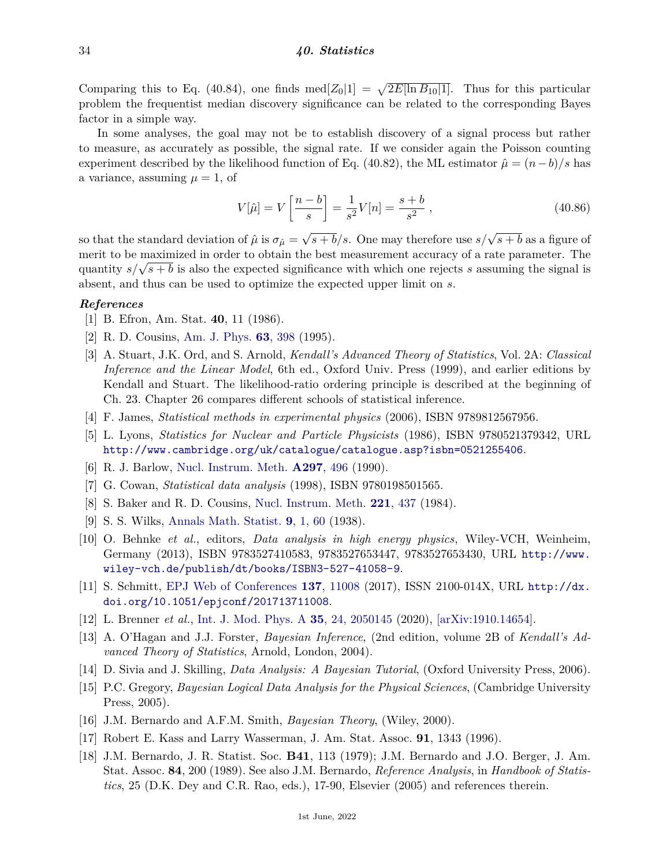Comparing this to Eq. (40.84), one finds med $[Z_0|1] = \sqrt{2E[\ln B_{10}|1]}$ . Thus for this particular problem the frequentist median discovery significance can be related to the corresponding Bayes factor in a simple way.

In some analyses, the goal may not be to establish discovery of a signal process but rather to measure, as accurately as possible, the signal rate. If we consider again the Poisson counting experiment described by the likelihood function of Eq. (40.82), the ML estimator  $\hat{\mu} = (n - b)/s$  has a variance, assuming  $\mu = 1$ , of

$$
V[\hat{\mu}] = V\left[\frac{n-b}{s}\right] = \frac{1}{s^2}V[n] = \frac{s+b}{s^2},
$$
\n(40.86)

so that the standard deviation of  $\hat{\mu}$  is  $\sigma_{\hat{\mu}} =$  $\sqrt{s+b}/s$ . One may therefore use  $s/\sqrt{s+b}$  as a figure of merit to be maximized in order to obtain the best measurement accuracy of a rate parameter. The merit to be maximized in order to obtain the best measurement accuracy of a rate parameter. The quantity  $s/\sqrt{s+b}$  is also the expected significance with which one rejects *s* assuming the signal is absent, and thus can be used to optimize the expected upper limit on *s*.

#### <span id="page-33-0"></span>*References*

- [1] B. Efron, Am. Stat. **40**, 11 (1986).
- <span id="page-33-1"></span>[2] R. D. Cousins, [Am. J. Phys.](http://doi.org/10.1119/1.17901) **63**[, 398](http://doi.org/10.1119/1.17901) (1995).
- <span id="page-33-2"></span>[3] A. Stuart, J.K. Ord, and S. Arnold, *Kendall's Advanced Theory of Statistics*, Vol. 2A: *Classical Inference and the Linear Model*, 6th ed., Oxford Univ. Press (1999), and earlier editions by Kendall and Stuart. The likelihood-ratio ordering principle is described at the beginning of Ch. 23. Chapter 26 compares different schools of statistical inference.
- <span id="page-33-3"></span>[4] F. James, *Statistical methods in experimental physics* (2006), ISBN 9789812567956.
- <span id="page-33-4"></span>[5] L. Lyons, *Statistics for Nuclear and Particle Physicists* (1986), ISBN 9780521379342, URL <http://www.cambridge.org/uk/catalogue/catalogue.asp?isbn=0521255406>.
- [6] R. J. Barlow, [Nucl. Instrum. Meth.](http://doi.org/10.1016/0168-9002(90)91334-8) **[A297](http://doi.org/10.1016/0168-9002(90)91334-8)**, 496 (1990).
- <span id="page-33-5"></span>[7] G. Cowan, *Statistical data analysis* (1998), ISBN 9780198501565.
- <span id="page-33-6"></span>[8] S. Baker and R. D. Cousins, [Nucl. Instrum. Meth.](http://doi.org/10.1016/0167-5087(84)90016-4) **221**[, 437](http://doi.org/10.1016/0167-5087(84)90016-4) (1984).
- <span id="page-33-7"></span>[9] S. S. Wilks, [Annals Math. Statist.](http://doi.org/10.1214/aoms/1177732360) **9**[, 1, 60](http://doi.org/10.1214/aoms/1177732360) (1938).
- <span id="page-33-8"></span>[10] O. Behnke *et al.*, editors, *Data analysis in high energy physics*, Wiley-VCH, Weinheim, Germany (2013), ISBN 9783527410583, 9783527653447, 9783527653430, URL [http://www.](http://www.wiley-vch.de/publish/dt/books/ISBN3-527-41058-9) [wiley-vch.de/publish/dt/books/ISBN3-527-41058-9](http://www.wiley-vch.de/publish/dt/books/ISBN3-527-41058-9).
- [11] S. Schmitt, [EPJ Web of Conferences](http://doi.org/10.1051/epjconf/201713711008) **137**[, 11008](http://doi.org/10.1051/epjconf/201713711008) (2017), ISSN 2100-014X, URL [http://dx.](http://dx.doi.org/10.1051/epjconf/201713711008) [doi.org/10.1051/epjconf/201713711008](http://dx.doi.org/10.1051/epjconf/201713711008).
- <span id="page-33-9"></span>[12] L. Brenner *et al.*, [Int. J. Mod. Phys. A](http://doi.org/10.1142/S0217751X20501456) **35**[, 24, 2050145](http://doi.org/10.1142/S0217751X20501456) (2020), [\[arXiv:1910.14654\].](https://arxiv.org/abs/1910.14654)
- <span id="page-33-10"></span>[13] A. O'Hagan and J.J. Forster, *Bayesian Inference*, (2nd edition, volume 2B of *Kendall's Advanced Theory of Statistics*, Arnold, London, 2004).
- [14] D. Sivia and J. Skilling, *Data Analysis: A Bayesian Tutorial*, (Oxford University Press, 2006).
- [15] P.C. Gregory, *Bayesian Logical Data Analysis for the Physical Sciences*, (Cambridge University Press, 2005).
- <span id="page-33-11"></span>[16] J.M. Bernardo and A.F.M. Smith, *Bayesian Theory*, (Wiley, 2000).
- <span id="page-33-12"></span>[17] Robert E. Kass and Larry Wasserman, J. Am. Stat. Assoc. **91**, 1343 (1996).
- <span id="page-33-13"></span>[18] J.M. Bernardo, J. R. Statist. Soc. **B41**, 113 (1979); J.M. Bernardo and J.O. Berger, J. Am. Stat. Assoc. **84**, 200 (1989). See also J.M. Bernardo, *Reference Analysis*, in *Handbook of Statistics*, 25 (D.K. Dey and C.R. Rao, eds.), 17-90, Elsevier (2005) and references therein.